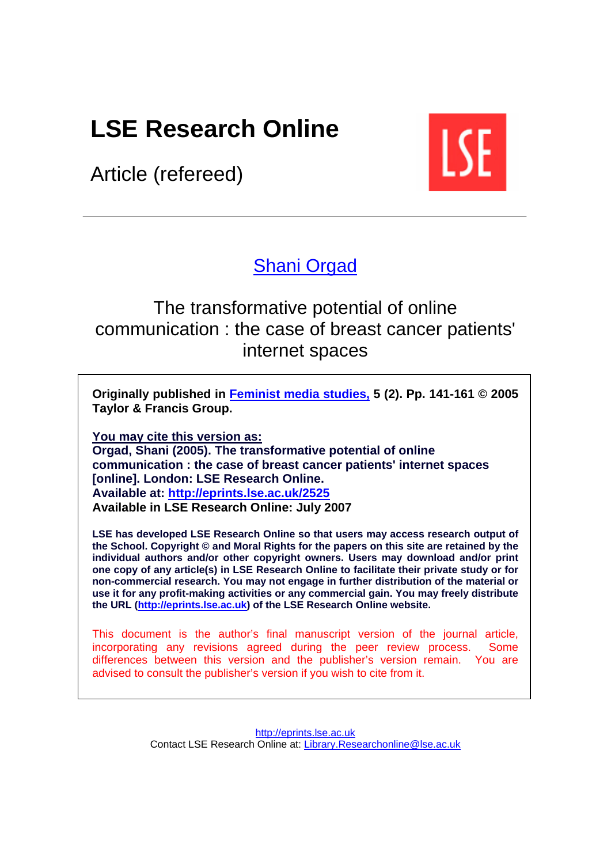# **LSE Research Online**

Article (refereed)



# [Shani Orgad](http://www.lse.ac.uk/people/s.s.orgad@lse.ac.uk/)

# The transformative potential of online communication : the case of breast cancer patients' internet spaces

**Originally published in [Feminist media studies,](http://www.tandf.co.uk/journals/titles/14680777.asp) 5 (2). Pp. 141-161 © 2005 Taylor & Francis Group.** 

**You may cite this version as: Orgad, Shani (2005). The transformative potential of online communication : the case of breast cancer patients' internet spaces [online]. London: LSE Research Online. Available at: http://eprints.lse.ac.uk/2525 Available in LSE Research Online: July 2007**

**LSE has developed LSE Research Online so that users may access research output of the School. Copyright © and Moral Rights for the papers on this site are retained by the individual authors and/or other copyright owners. Users may download and/or print one copy of any article(s) in LSE Research Online to facilitate their private study or for non-commercial research. You may not engage in further distribution of the material or use it for any profit-making activities or any commercial gain. You may freely distribute the URL [\(http://eprints.lse.ac.uk\)](http://eprints.lse.ac.uk/) of the LSE Research Online website.** 

This document is the author's final manuscript version of the journal article, incorporating any revisions agreed during the peer review process. Some differences between this version and the publisher's version remain. You are advised to consult the publisher's version if you wish to cite from it.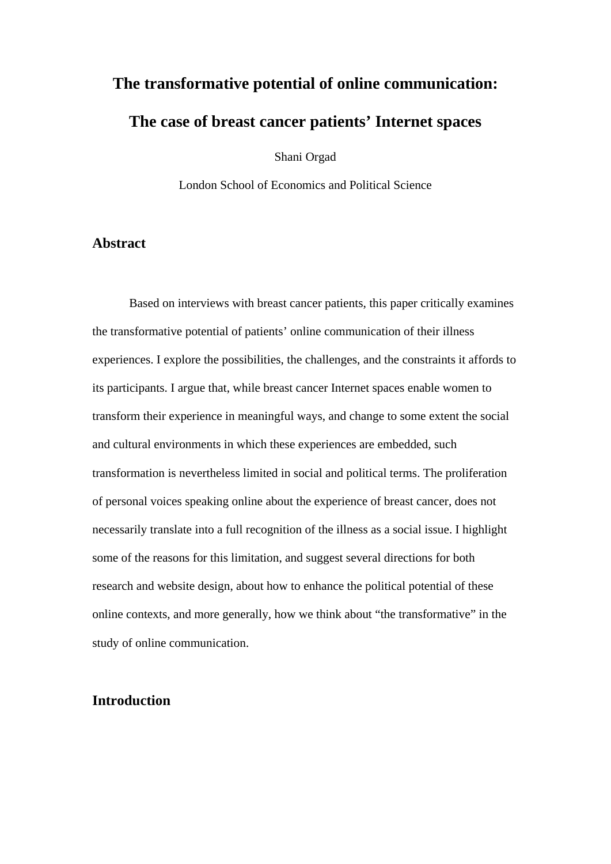# **The transformative potential of online communication: The case of breast cancer patients' Internet spaces**

Shani Orgad

London School of Economics and Political Science

# **Abstract**

Based on interviews with breast cancer patients, this paper critically examines the transformative potential of patients' online communication of their illness experiences. I explore the possibilities, the challenges, and the constraints it affords to its participants. I argue that, while breast cancer Internet spaces enable women to transform their experience in meaningful ways, and change to some extent the social and cultural environments in which these experiences are embedded, such transformation is nevertheless limited in social and political terms. The proliferation of personal voices speaking online about the experience of breast cancer, does not necessarily translate into a full recognition of the illness as a social issue. I highlight some of the reasons for this limitation, and suggest several directions for both research and website design, about how to enhance the political potential of these online contexts, and more generally, how we think about "the transformative" in the study of online communication.

# **Introduction**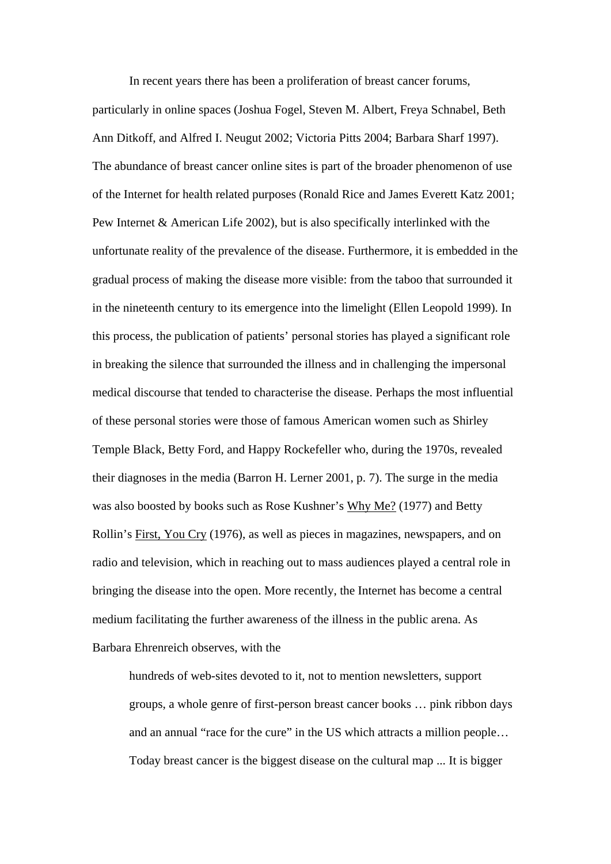In recent years there has been a proliferation of breast cancer forums, particularly in online spaces (Joshua Fogel, Steven M. Albert, Freya Schnabel, Beth Ann Ditkoff, and Alfred I. Neugut 2002; Victoria Pitts 2004; Barbara Sharf 1997). The abundance of breast cancer online sites is part of the broader phenomenon of use of the Internet for health related purposes (Ronald Rice and James Everett Katz 2001; Pew Internet & American Life 2002), but is also specifically interlinked with the unfortunate reality of the prevalence of the disease. Furthermore, it is embedded in the gradual process of making the disease more visible: from the taboo that surrounded it in the nineteenth century to its emergence into the limelight (Ellen Leopold 1999). In this process, the publication of patients' personal stories has played a significant role in breaking the silence that surrounded the illness and in challenging the impersonal medical discourse that tended to characterise the disease. Perhaps the most influential of these personal stories were those of famous American women such as Shirley Temple Black, Betty Ford, and Happy Rockefeller who, during the 1970s, revealed their diagnoses in the media (Barron H. Lerner 2001, p. 7). The surge in the media was also boosted by books such as Rose Kushner's Why Me? (1977) and Betty Rollin's First, You Cry (1976), as well as pieces in magazines, newspapers, and on radio and television, which in reaching out to mass audiences played a central role in bringing the disease into the open. More recently, the Internet has become a central medium facilitating the further awareness of the illness in the public arena. As Barbara Ehrenreich observes, with the

hundreds of web-sites devoted to it, not to mention newsletters, support groups, a whole genre of first-person breast cancer books … pink ribbon days and an annual "race for the cure" in the US which attracts a million people… Today breast cancer is the biggest disease on the cultural map ... It is bigger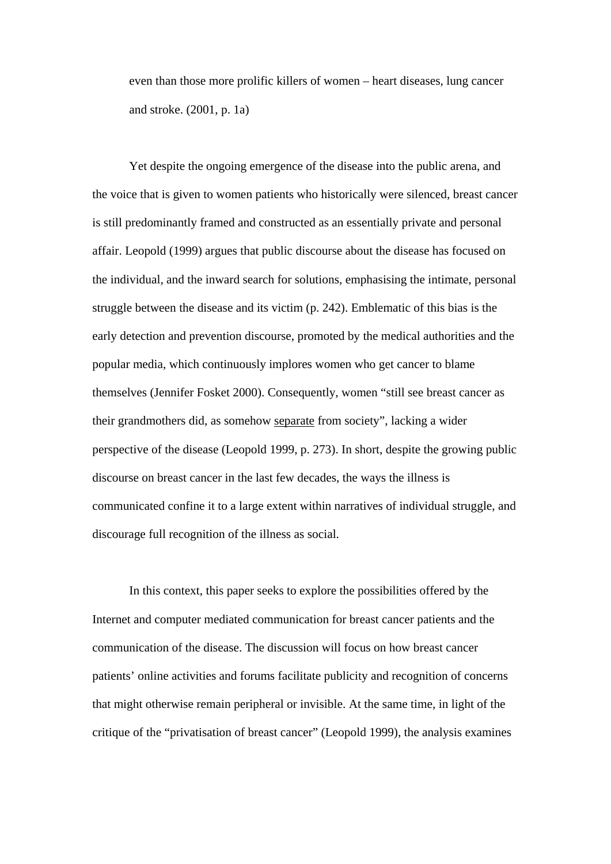even than those more prolific killers of women – heart diseases, lung cancer and stroke. (2001, p. 1a)

Yet despite the ongoing emergence of the disease into the public arena, and the voice that is given to women patients who historically were silenced, breast cancer is still predominantly framed and constructed as an essentially private and personal affair. Leopold (1999) argues that public discourse about the disease has focused on the individual, and the inward search for solutions, emphasising the intimate, personal struggle between the disease and its victim (p. 242). Emblematic of this bias is the early detection and prevention discourse, promoted by the medical authorities and the popular media, which continuously implores women who get cancer to blame themselves (Jennifer Fosket 2000). Consequently, women "still see breast cancer as their grandmothers did, as somehow separate from society", lacking a wider perspective of the disease (Leopold 1999, p. 273). In short, despite the growing public discourse on breast cancer in the last few decades, the ways the illness is communicated confine it to a large extent within narratives of individual struggle, and discourage full recognition of the illness as social.

In this context, this paper seeks to explore the possibilities offered by the Internet and computer mediated communication for breast cancer patients and the communication of the disease. The discussion will focus on how breast cancer patients' online activities and forums facilitate publicity and recognition of concerns that might otherwise remain peripheral or invisible. At the same time, in light of the critique of the "privatisation of breast cancer" (Leopold 1999), the analysis examines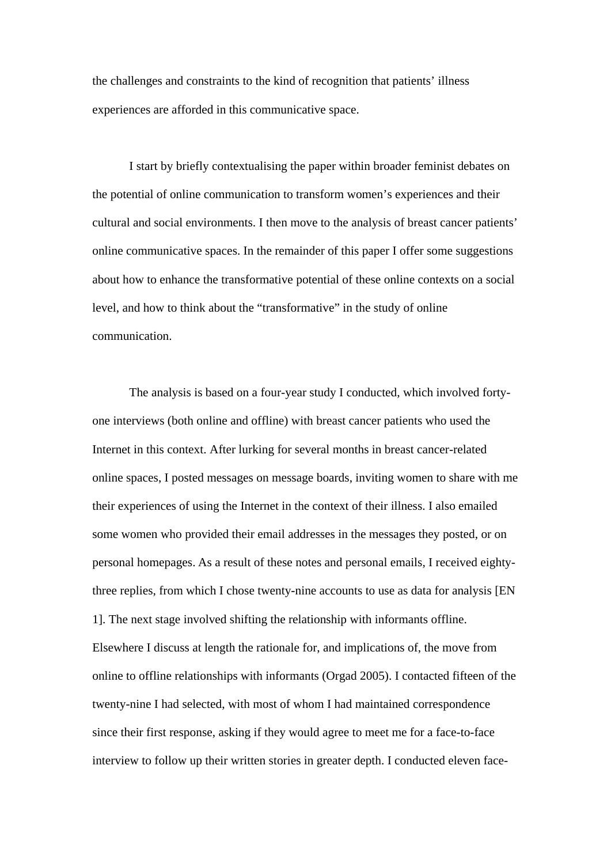the challenges and constraints to the kind of recognition that patients' illness experiences are afforded in this communicative space.

I start by briefly contextualising the paper within broader feminist debates on the potential of online communication to transform women's experiences and their cultural and social environments. I then move to the analysis of breast cancer patients' online communicative spaces. In the remainder of this paper I offer some suggestions about how to enhance the transformative potential of these online contexts on a social level, and how to think about the "transformative" in the study of online communication.

The analysis is based on a four-year study I conducted, which involved fortyone interviews (both online and offline) with breast cancer patients who used the Internet in this context. After lurking for several months in breast cancer-related online spaces, I posted messages on message boards, inviting women to share with me their experiences of using the Internet in the context of their illness. I also emailed some women who provided their email addresses in the messages they posted, or on personal homepages. As a result of these notes and personal emails, I received eightythree replies, from which I chose twenty-nine accounts to use as data for analysis [EN 1]. The next stage involved shifting the relationship with informants offline. Elsewhere I discuss at length the rationale for, and implications of, the move from online to offline relationships with informants (Orgad 2005). I contacted fifteen of the twenty-nine I had selected, with most of whom I had maintained correspondence since their first response, asking if they would agree to meet me for a face-to-face interview to follow up their written stories in greater depth. I conducted eleven face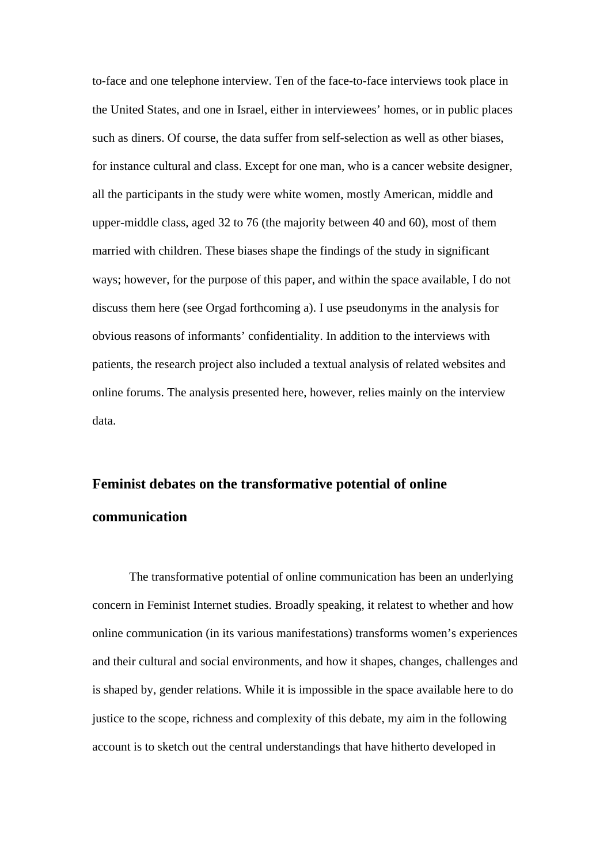to-face and one telephone interview. Ten of the face-to-face interviews took place in the United States, and one in Israel, either in interviewees' homes, or in public places such as diners. Of course, the data suffer from self-selection as well as other biases, for instance cultural and class. Except for one man, who is a cancer website designer, all the participants in the study were white women, mostly American, middle and upper-middle class, aged 32 to 76 (the majority between 40 and 60), most of them married with children. These biases shape the findings of the study in significant ways; however, for the purpose of this paper, and within the space available, I do not discuss them here (see Orgad forthcoming a). I use pseudonyms in the analysis for obvious reasons of informants' confidentiality. In addition to the interviews with patients, the research project also included a textual analysis of related websites and online forums. The analysis presented here, however, relies mainly on the interview data.

# **Feminist debates on the transformative potential of online communication**

The transformative potential of online communication has been an underlying concern in Feminist Internet studies. Broadly speaking, it relatest to whether and how online communication (in its various manifestations) transforms women's experiences and their cultural and social environments, and how it shapes, changes, challenges and is shaped by, gender relations. While it is impossible in the space available here to do justice to the scope, richness and complexity of this debate, my aim in the following account is to sketch out the central understandings that have hitherto developed in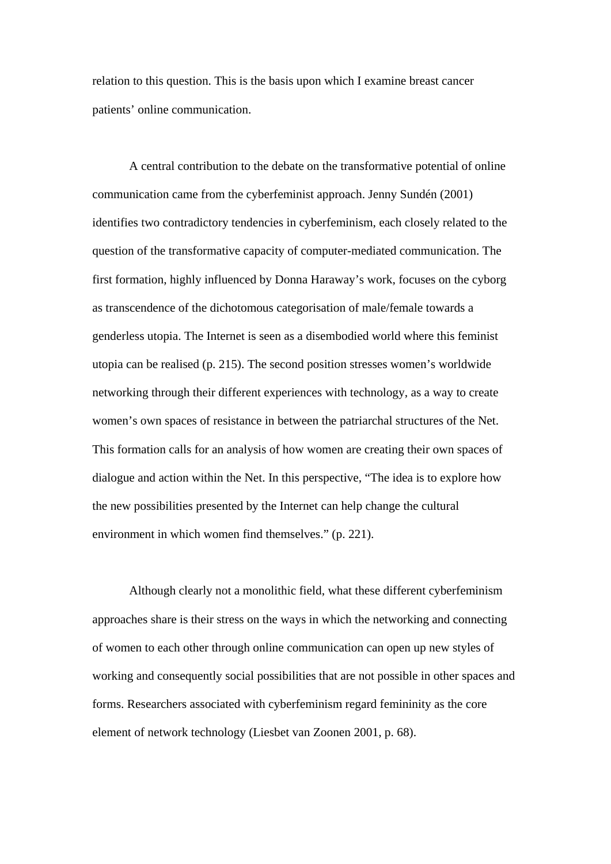relation to this question. This is the basis upon which I examine breast cancer patients' online communication.

A central contribution to the debate on the transformative potential of online communication came from the cyberfeminist approach. Jenny Sundén (2001) identifies two contradictory tendencies in cyberfeminism, each closely related to the question of the transformative capacity of computer-mediated communication. The first formation, highly influenced by Donna Haraway's work, focuses on the cyborg as transcendence of the dichotomous categorisation of male/female towards a genderless utopia. The Internet is seen as a disembodied world where this feminist utopia can be realised (p. 215). The second position stresses women's worldwide networking through their different experiences with technology, as a way to create women's own spaces of resistance in between the patriarchal structures of the Net. This formation calls for an analysis of how women are creating their own spaces of dialogue and action within the Net. In this perspective, "The idea is to explore how the new possibilities presented by the Internet can help change the cultural environment in which women find themselves." (p. 221).

Although clearly not a monolithic field, what these different cyberfeminism approaches share is their stress on the ways in which the networking and connecting of women to each other through online communication can open up new styles of working and consequently social possibilities that are not possible in other spaces and forms. Researchers associated with cyberfeminism regard femininity as the core element of network technology (Liesbet van Zoonen 2001, p. 68).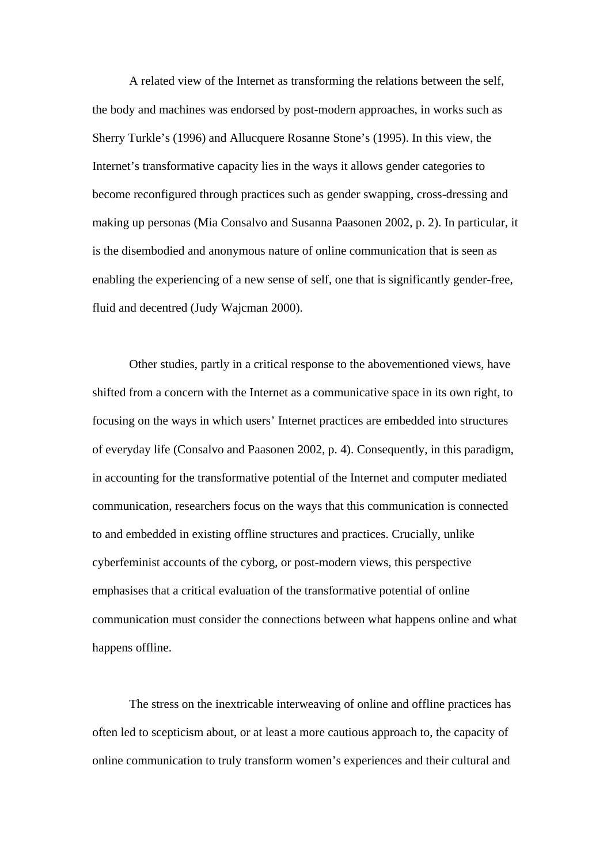A related view of the Internet as transforming the relations between the self, the body and machines was endorsed by post-modern approaches, in works such as Sherry Turkle's (1996) and Allucquere Rosanne Stone's (1995). In this view, the Internet's transformative capacity lies in the ways it allows gender categories to become reconfigured through practices such as gender swapping, cross-dressing and making up personas (Mia Consalvo and Susanna Paasonen 2002, p. 2). In particular, it is the disembodied and anonymous nature of online communication that is seen as enabling the experiencing of a new sense of self, one that is significantly gender-free, fluid and decentred (Judy Wajcman 2000).

Other studies, partly in a critical response to the abovementioned views, have shifted from a concern with the Internet as a communicative space in its own right, to focusing on the ways in which users' Internet practices are embedded into structures of everyday life (Consalvo and Paasonen 2002, p. 4). Consequently, in this paradigm, in accounting for the transformative potential of the Internet and computer mediated communication, researchers focus on the ways that this communication is connected to and embedded in existing offline structures and practices. Crucially, unlike cyberfeminist accounts of the cyborg, or post-modern views, this perspective emphasises that a critical evaluation of the transformative potential of online communication must consider the connections between what happens online and what happens offline.

The stress on the inextricable interweaving of online and offline practices has often led to scepticism about, or at least a more cautious approach to, the capacity of online communication to truly transform women's experiences and their cultural and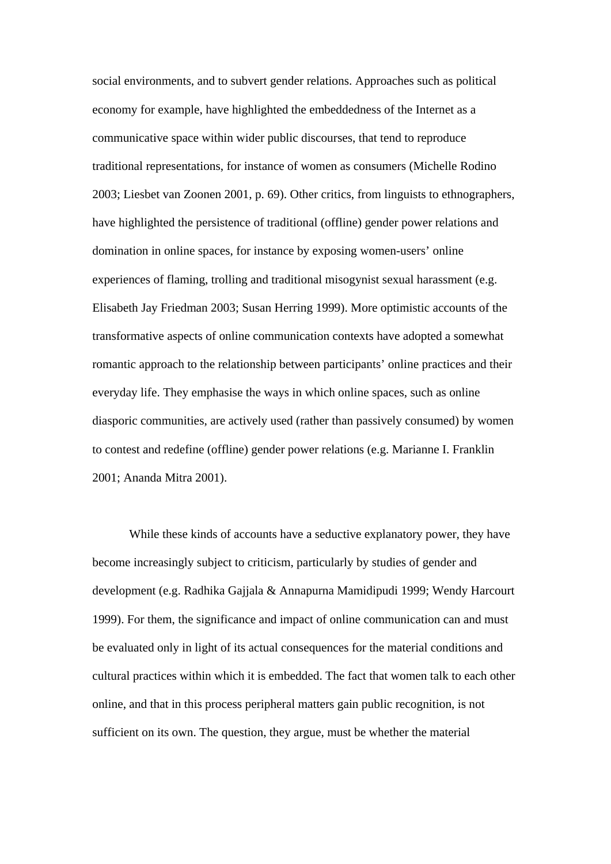social environments, and to subvert gender relations. Approaches such as political economy for example, have highlighted the embeddedness of the Internet as a communicative space within wider public discourses, that tend to reproduce traditional representations, for instance of women as consumers (Michelle Rodino 2003; Liesbet van Zoonen 2001, p. 69). Other critics, from linguists to ethnographers, have highlighted the persistence of traditional (offline) gender power relations and domination in online spaces, for instance by exposing women-users' online experiences of flaming, trolling and traditional misogynist sexual harassment (e.g. Elisabeth Jay Friedman 2003; Susan Herring 1999). More optimistic accounts of the transformative aspects of online communication contexts have adopted a somewhat romantic approach to the relationship between participants' online practices and their everyday life. They emphasise the ways in which online spaces, such as online diasporic communities, are actively used (rather than passively consumed) by women to contest and redefine (offline) gender power relations (e.g. Marianne I. Franklin 2001; Ananda Mitra 2001).

While these kinds of accounts have a seductive explanatory power, they have become increasingly subject to criticism, particularly by studies of gender and development (e.g. Radhika Gajjala & Annapurna Mamidipudi 1999; Wendy Harcourt 1999). For them, the significance and impact of online communication can and must be evaluated only in light of its actual consequences for the material conditions and cultural practices within which it is embedded. The fact that women talk to each other online, and that in this process peripheral matters gain public recognition, is not sufficient on its own. The question, they argue, must be whether the material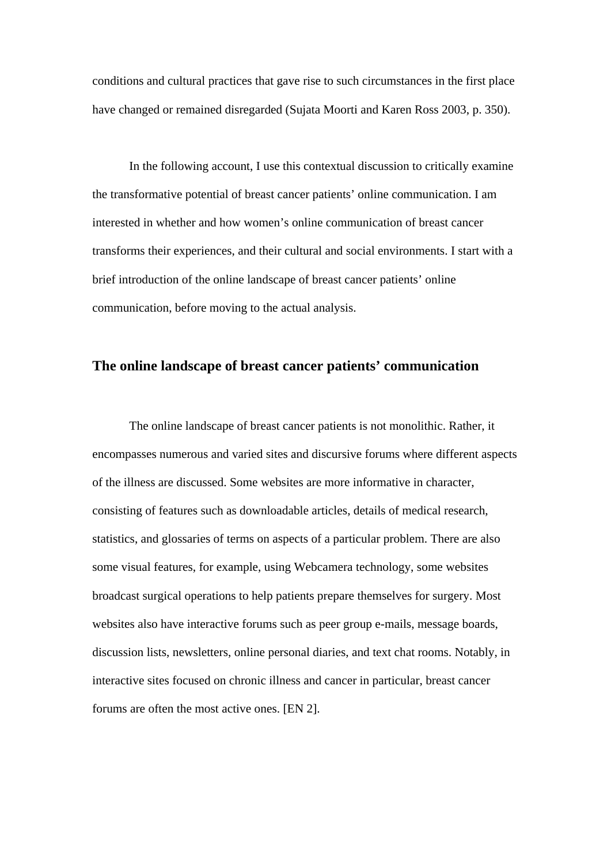conditions and cultural practices that gave rise to such circumstances in the first place have changed or remained disregarded (Sujata Moorti and Karen Ross 2003, p. 350).

In the following account, I use this contextual discussion to critically examine the transformative potential of breast cancer patients' online communication. I am interested in whether and how women's online communication of breast cancer transforms their experiences, and their cultural and social environments. I start with a brief introduction of the online landscape of breast cancer patients' online communication, before moving to the actual analysis.

# **The online landscape of breast cancer patients' communication**

The online landscape of breast cancer patients is not monolithic. Rather, it encompasses numerous and varied sites and discursive forums where different aspects of the illness are discussed. Some websites are more informative in character, consisting of features such as downloadable articles, details of medical research, statistics, and glossaries of terms on aspects of a particular problem. There are also some visual features, for example, using Webcamera technology, some websites broadcast surgical operations to help patients prepare themselves for surgery. Most websites also have interactive forums such as peer group e-mails, message boards, discussion lists, newsletters, online personal diaries, and text chat rooms. Notably, in interactive sites focused on chronic illness and cancer in particular, breast cancer forums are often the most active ones. [EN 2].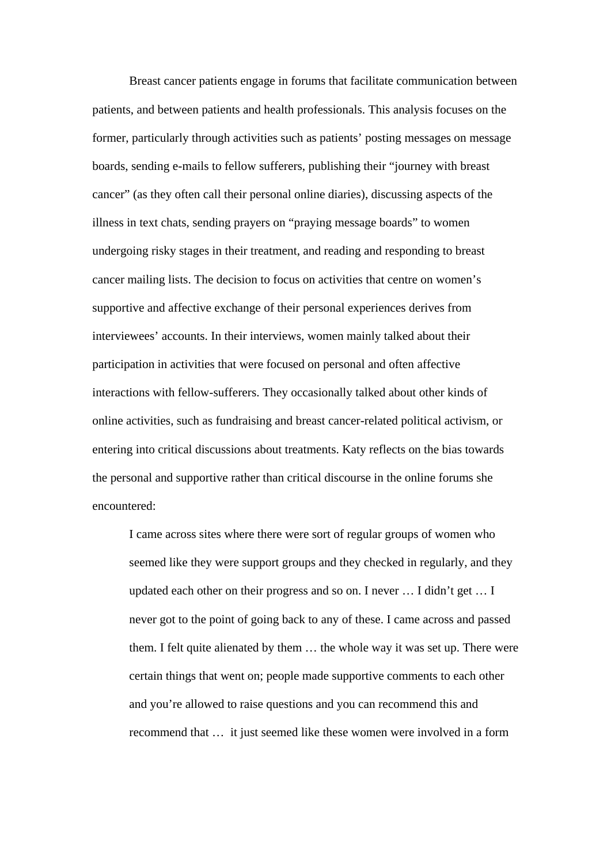Breast cancer patients engage in forums that facilitate communication between patients, and between patients and health professionals. This analysis focuses on the former, particularly through activities such as patients' posting messages on message boards, sending e-mails to fellow sufferers, publishing their "journey with breast cancer" (as they often call their personal online diaries), discussing aspects of the illness in text chats, sending prayers on "praying message boards" to women undergoing risky stages in their treatment, and reading and responding to breast cancer mailing lists. The decision to focus on activities that centre on women's supportive and affective exchange of their personal experiences derives from interviewees' accounts. In their interviews, women mainly talked about their participation in activities that were focused on personal and often affective interactions with fellow-sufferers. They occasionally talked about other kinds of online activities, such as fundraising and breast cancer-related political activism, or entering into critical discussions about treatments. Katy reflects on the bias towards the personal and supportive rather than critical discourse in the online forums she encountered:

I came across sites where there were sort of regular groups of women who seemed like they were support groups and they checked in regularly, and they updated each other on their progress and so on. I never … I didn't get … I never got to the point of going back to any of these. I came across and passed them. I felt quite alienated by them … the whole way it was set up. There were certain things that went on; people made supportive comments to each other and you're allowed to raise questions and you can recommend this and recommend that … it just seemed like these women were involved in a form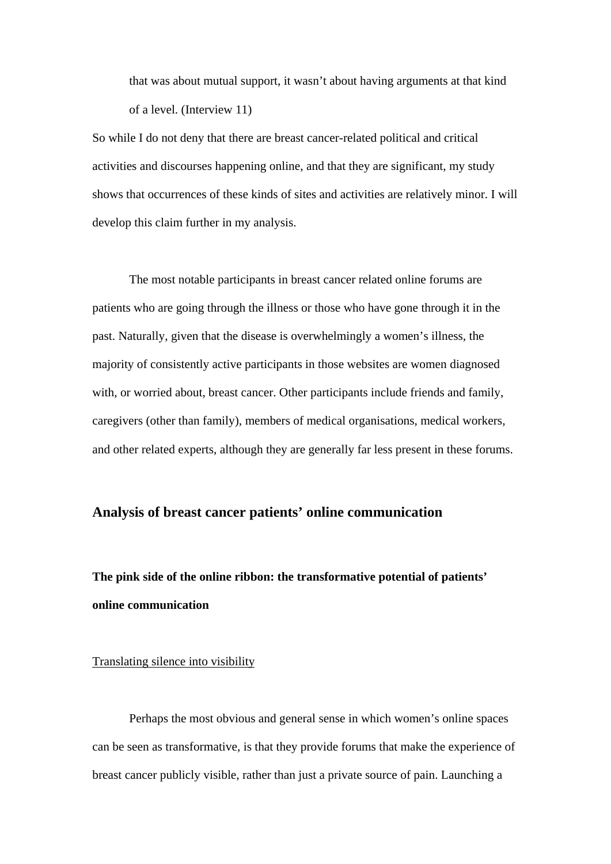that was about mutual support, it wasn't about having arguments at that kind of a level. (Interview 11)

So while I do not deny that there are breast cancer-related political and critical activities and discourses happening online, and that they are significant, my study shows that occurrences of these kinds of sites and activities are relatively minor. I will develop this claim further in my analysis.

The most notable participants in breast cancer related online forums are patients who are going through the illness or those who have gone through it in the past. Naturally, given that the disease is overwhelmingly a women's illness, the majority of consistently active participants in those websites are women diagnosed with, or worried about, breast cancer. Other participants include friends and family, caregivers (other than family), members of medical organisations, medical workers, and other related experts, although they are generally far less present in these forums.

# **Analysis of breast cancer patients' online communication**

# **The pink side of the online ribbon: the transformative potential of patients' online communication**

### Translating silence into visibility

Perhaps the most obvious and general sense in which women's online spaces can be seen as transformative, is that they provide forums that make the experience of breast cancer publicly visible, rather than just a private source of pain. Launching a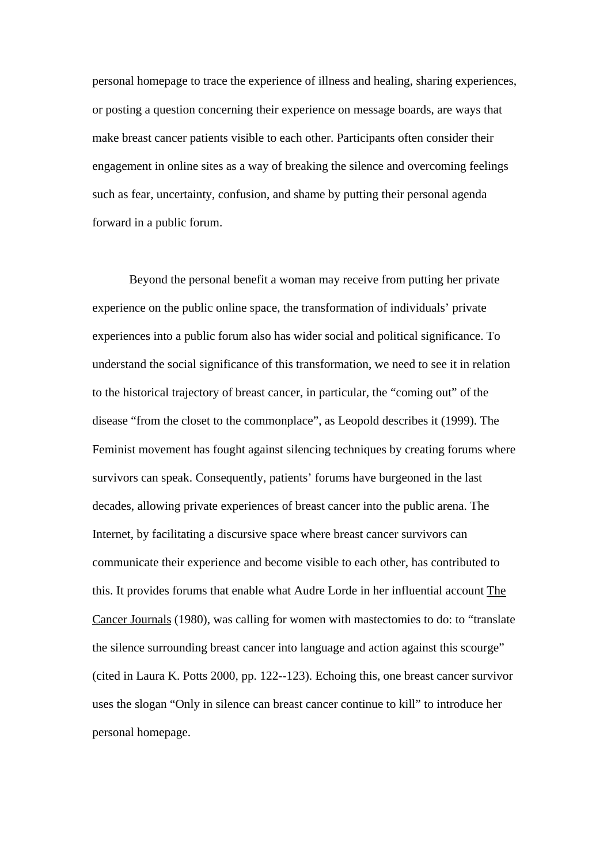personal homepage to trace the experience of illness and healing, sharing experiences, or posting a question concerning their experience on message boards, are ways that make breast cancer patients visible to each other. Participants often consider their engagement in online sites as a way of breaking the silence and overcoming feelings such as fear, uncertainty, confusion, and shame by putting their personal agenda forward in a public forum.

Beyond the personal benefit a woman may receive from putting her private experience on the public online space, the transformation of individuals' private experiences into a public forum also has wider social and political significance. To understand the social significance of this transformation, we need to see it in relation to the historical trajectory of breast cancer, in particular, the "coming out" of the disease "from the closet to the commonplace", as Leopold describes it (1999). The Feminist movement has fought against silencing techniques by creating forums where survivors can speak. Consequently, patients' forums have burgeoned in the last decades, allowing private experiences of breast cancer into the public arena. The Internet, by facilitating a discursive space where breast cancer survivors can communicate their experience and become visible to each other, has contributed to this. It provides forums that enable what Audre Lorde in her influential account The Cancer Journals (1980), was calling for women with mastectomies to do: to "translate the silence surrounding breast cancer into language and action against this scourge" (cited in Laura K. Potts 2000, pp. 122--123). Echoing this, one breast cancer survivor uses the slogan "Only in silence can breast cancer continue to kill" to introduce her personal homepage.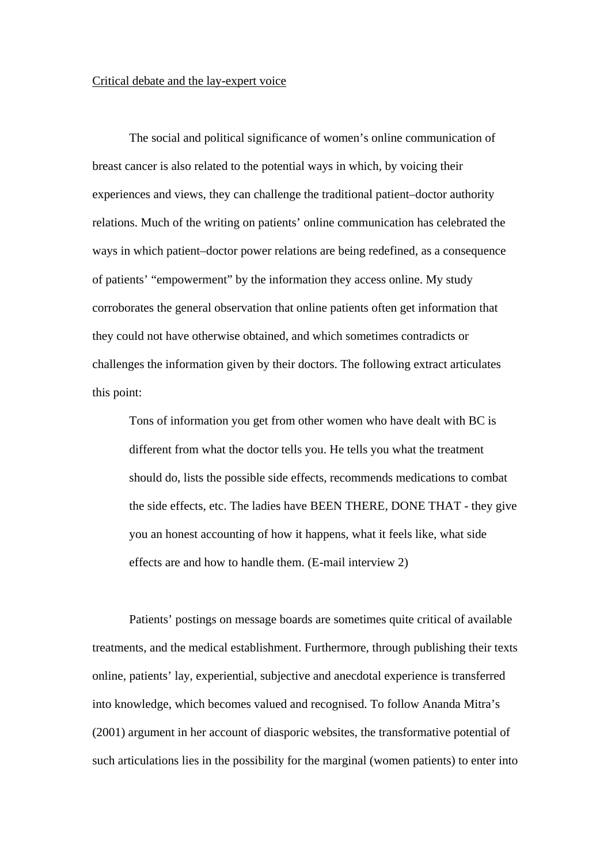#### Critical debate and the lay-expert voice

The social and political significance of women's online communication of breast cancer is also related to the potential ways in which, by voicing their experiences and views, they can challenge the traditional patient–doctor authority relations. Much of the writing on patients' online communication has celebrated the ways in which patient–doctor power relations are being redefined, as a consequence of patients' "empowerment" by the information they access online. My study corroborates the general observation that online patients often get information that they could not have otherwise obtained, and which sometimes contradicts or challenges the information given by their doctors. The following extract articulates this point:

Tons of information you get from other women who have dealt with BC is different from what the doctor tells you. He tells you what the treatment should do, lists the possible side effects, recommends medications to combat the side effects, etc. The ladies have BEEN THERE, DONE THAT - they give you an honest accounting of how it happens, what it feels like, what side effects are and how to handle them. (E-mail interview 2)

Patients' postings on message boards are sometimes quite critical of available treatments, and the medical establishment. Furthermore, through publishing their texts online, patients' lay, experiential, subjective and anecdotal experience is transferred into knowledge, which becomes valued and recognised. To follow Ananda Mitra's (2001) argument in her account of diasporic websites, the transformative potential of such articulations lies in the possibility for the marginal (women patients) to enter into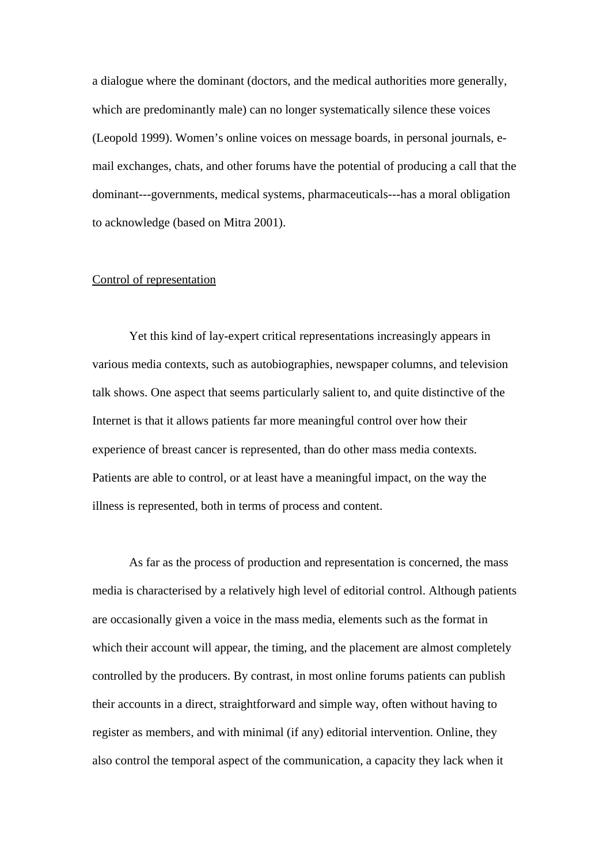a dialogue where the dominant (doctors, and the medical authorities more generally, which are predominantly male) can no longer systematically silence these voices (Leopold 1999). Women's online voices on message boards, in personal journals, email exchanges, chats, and other forums have the potential of producing a call that the dominant---governments, medical systems, pharmaceuticals---has a moral obligation to acknowledge (based on Mitra 2001).

## Control of representation

Yet this kind of lay-expert critical representations increasingly appears in various media contexts, such as autobiographies, newspaper columns, and television talk shows. One aspect that seems particularly salient to, and quite distinctive of the Internet is that it allows patients far more meaningful control over how their experience of breast cancer is represented, than do other mass media contexts. Patients are able to control, or at least have a meaningful impact, on the way the illness is represented, both in terms of process and content.

As far as the process of production and representation is concerned, the mass media is characterised by a relatively high level of editorial control. Although patients are occasionally given a voice in the mass media, elements such as the format in which their account will appear, the timing, and the placement are almost completely controlled by the producers. By contrast, in most online forums patients can publish their accounts in a direct, straightforward and simple way, often without having to register as members, and with minimal (if any) editorial intervention. Online, they also control the temporal aspect of the communication, a capacity they lack when it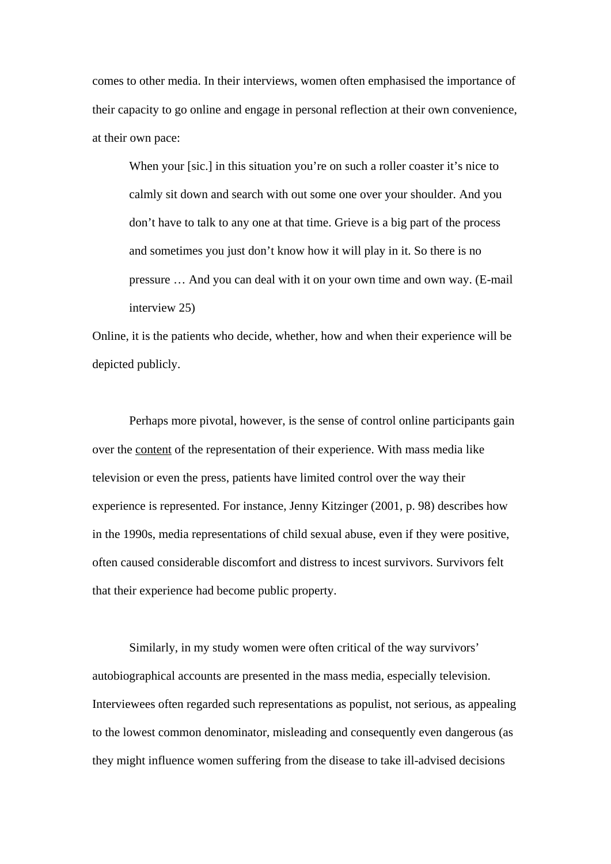comes to other media. In their interviews, women often emphasised the importance of their capacity to go online and engage in personal reflection at their own convenience, at their own pace:

When your [sic.] in this situation you're on such a roller coaster it's nice to calmly sit down and search with out some one over your shoulder. And you don't have to talk to any one at that time. Grieve is a big part of the process and sometimes you just don't know how it will play in it. So there is no pressure … And you can deal with it on your own time and own way. (E-mail interview 25)

Online, it is the patients who decide, whether, how and when their experience will be depicted publicly.

Perhaps more pivotal, however, is the sense of control online participants gain over the content of the representation of their experience. With mass media like television or even the press, patients have limited control over the way their experience is represented. For instance, Jenny Kitzinger (2001, p. 98) describes how in the 1990s, media representations of child sexual abuse, even if they were positive, often caused considerable discomfort and distress to incest survivors. Survivors felt that their experience had become public property.

Similarly, in my study women were often critical of the way survivors' autobiographical accounts are presented in the mass media, especially television. Interviewees often regarded such representations as populist, not serious, as appealing to the lowest common denominator, misleading and consequently even dangerous (as they might influence women suffering from the disease to take ill-advised decisions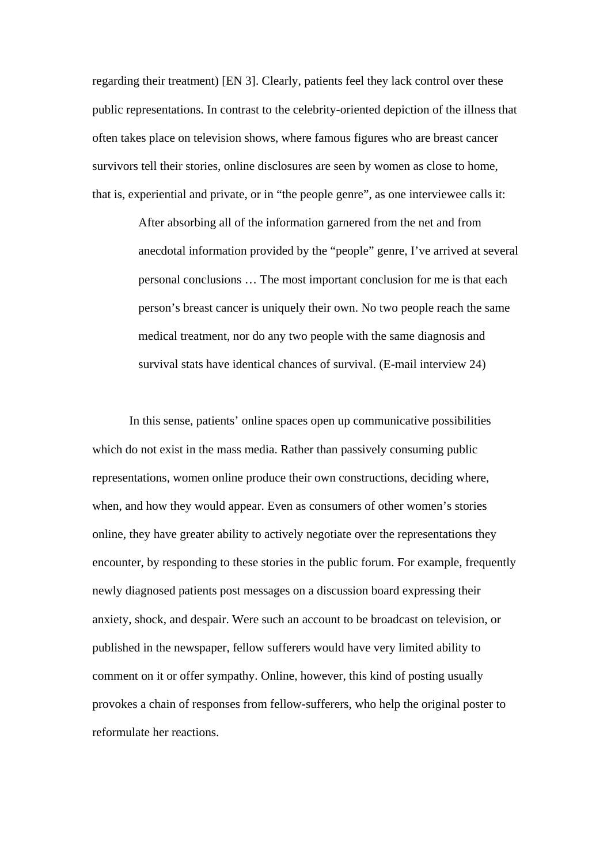regarding their treatment) [EN 3]. Clearly, patients feel they lack control over these public representations. In contrast to the celebrity-oriented depiction of the illness that often takes place on television shows, where famous figures who are breast cancer survivors tell their stories, online disclosures are seen by women as close to home, that is, experiential and private, or in "the people genre", as one interviewee calls it:

> After absorbing all of the information garnered from the net and from anecdotal information provided by the "people" genre, I've arrived at several personal conclusions … The most important conclusion for me is that each person's breast cancer is uniquely their own. No two people reach the same medical treatment, nor do any two people with the same diagnosis and survival stats have identical chances of survival. (E-mail interview 24)

In this sense, patients' online spaces open up communicative possibilities which do not exist in the mass media. Rather than passively consuming public representations, women online produce their own constructions, deciding where, when, and how they would appear. Even as consumers of other women's stories online, they have greater ability to actively negotiate over the representations they encounter, by responding to these stories in the public forum. For example, frequently newly diagnosed patients post messages on a discussion board expressing their anxiety, shock, and despair. Were such an account to be broadcast on television, or published in the newspaper, fellow sufferers would have very limited ability to comment on it or offer sympathy. Online, however, this kind of posting usually provokes a chain of responses from fellow-sufferers, who help the original poster to reformulate her reactions.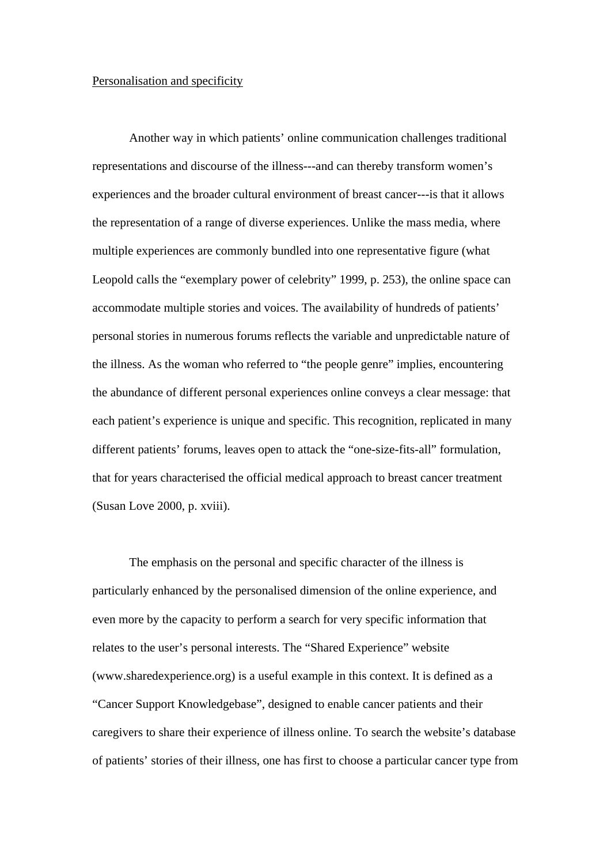#### Personalisation and specificity

Another way in which patients' online communication challenges traditional representations and discourse of the illness---and can thereby transform women's experiences and the broader cultural environment of breast cancer---is that it allows the representation of a range of diverse experiences. Unlike the mass media, where multiple experiences are commonly bundled into one representative figure (what Leopold calls the "exemplary power of celebrity" 1999, p. 253), the online space can accommodate multiple stories and voices. The availability of hundreds of patients' personal stories in numerous forums reflects the variable and unpredictable nature of the illness. As the woman who referred to "the people genre" implies, encountering the abundance of different personal experiences online conveys a clear message: that each patient's experience is unique and specific. This recognition, replicated in many different patients' forums, leaves open to attack the "one-size-fits-all" formulation, that for years characterised the official medical approach to breast cancer treatment (Susan Love 2000, p. xviii).

The emphasis on the personal and specific character of the illness is particularly enhanced by the personalised dimension of the online experience, and even more by the capacity to perform a search for very specific information that relates to the user's personal interests. The "Shared Experience" website ([www.sharedexperience.org](http://www.sharedexperience.org/)) is a useful example in this context. It is defined as a "Cancer Support Knowledgebase", designed to enable cancer patients and their caregivers to share their experience of illness online. To search the website's database of patients' stories of their illness, one has first to choose a particular cancer type from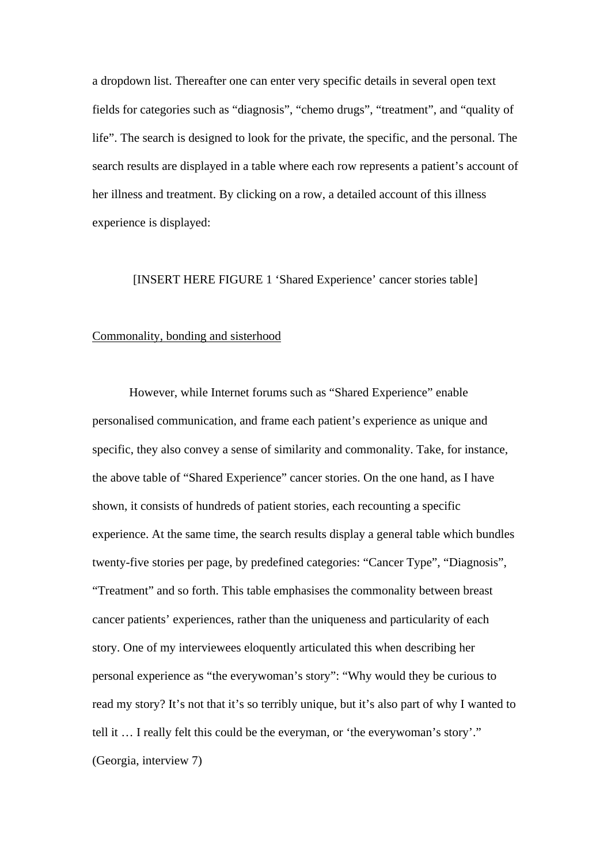a dropdown list. Thereafter one can enter very specific details in several open text fields for categories such as "diagnosis", "chemo drugs", "treatment", and "quality of life". The search is designed to look for the private, the specific, and the personal. The search results are displayed in a table where each row represents a patient's account of her illness and treatment. By clicking on a row, a detailed account of this illness experience is displayed:

### [INSERT HERE FIGURE 1 'Shared Experience' cancer stories table]

# Commonality, bonding and sisterhood

However, while Internet forums such as "Shared Experience" enable personalised communication, and frame each patient's experience as unique and specific, they also convey a sense of similarity and commonality. Take, for instance, the above table of "Shared Experience" cancer stories. On the one hand, as I have shown, it consists of hundreds of patient stories, each recounting a specific experience. At the same time, the search results display a general table which bundles twenty-five stories per page, by predefined categories: "Cancer Type", "Diagnosis", "Treatment" and so forth. This table emphasises the commonality between breast cancer patients' experiences, rather than the uniqueness and particularity of each story. One of my interviewees eloquently articulated this when describing her personal experience as "the everywoman's story": "Why would they be curious to read my story? It's not that it's so terribly unique, but it's also part of why I wanted to tell it … I really felt this could be the everyman, or 'the everywoman's story'." (Georgia, interview 7)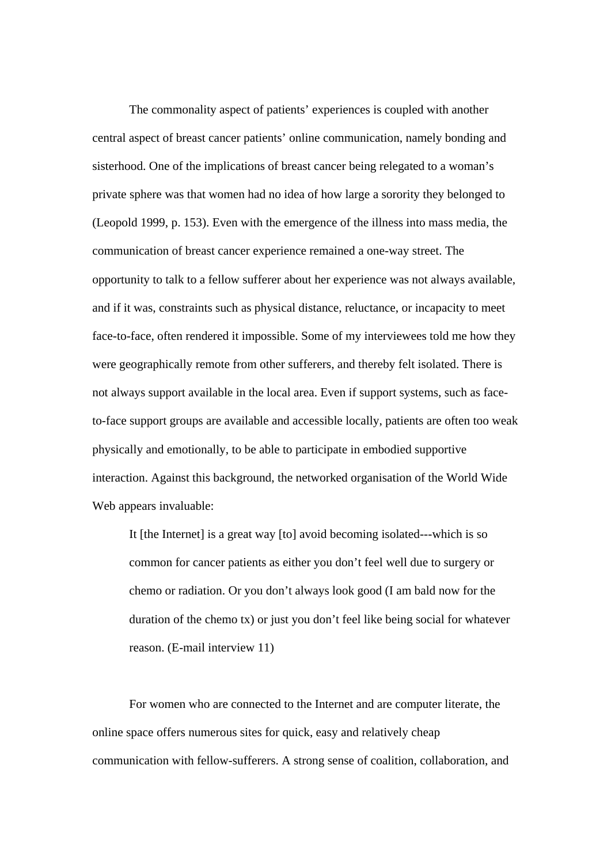The commonality aspect of patients' experiences is coupled with another central aspect of breast cancer patients' online communication, namely bonding and sisterhood. One of the implications of breast cancer being relegated to a woman's private sphere was that women had no idea of how large a sorority they belonged to (Leopold 1999, p. 153). Even with the emergence of the illness into mass media, the communication of breast cancer experience remained a one-way street. The opportunity to talk to a fellow sufferer about her experience was not always available, and if it was, constraints such as physical distance, reluctance, or incapacity to meet face-to-face, often rendered it impossible. Some of my interviewees told me how they were geographically remote from other sufferers, and thereby felt isolated. There is not always support available in the local area. Even if support systems, such as faceto-face support groups are available and accessible locally, patients are often too weak physically and emotionally, to be able to participate in embodied supportive interaction. Against this background, the networked organisation of the World Wide Web appears invaluable:

It [the Internet] is a great way [to] avoid becoming isolated---which is so common for cancer patients as either you don't feel well due to surgery or chemo or radiation. Or you don't always look good (I am bald now for the duration of the chemo tx) or just you don't feel like being social for whatever reason. (E-mail interview 11)

For women who are connected to the Internet and are computer literate, the online space offers numerous sites for quick, easy and relatively cheap communication with fellow-sufferers. A strong sense of coalition, collaboration, and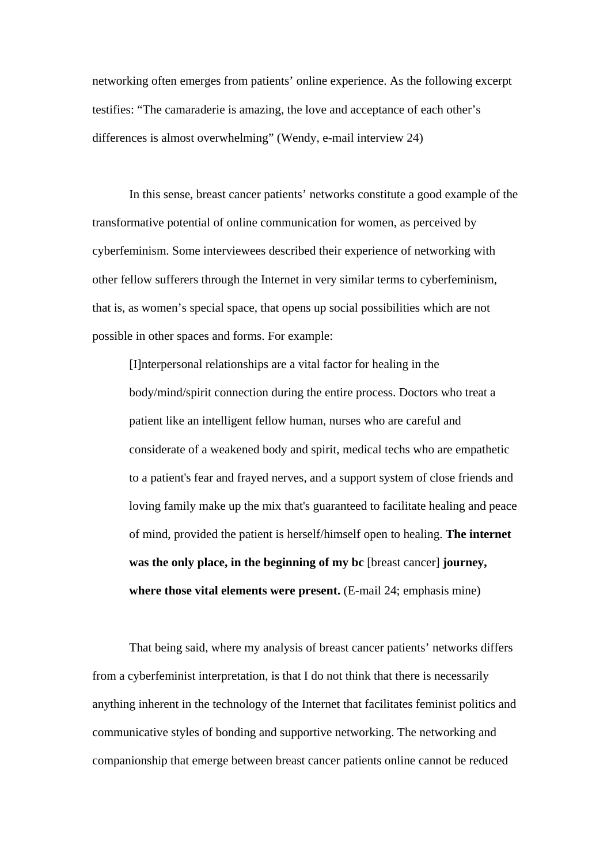networking often emerges from patients' online experience. As the following excerpt testifies: "The camaraderie is amazing, the love and acceptance of each other's differences is almost overwhelming" (Wendy, e-mail interview 24)

In this sense, breast cancer patients' networks constitute a good example of the transformative potential of online communication for women, as perceived by cyberfeminism. Some interviewees described their experience of networking with other fellow sufferers through the Internet in very similar terms to cyberfeminism, that is, as women's special space, that opens up social possibilities which are not possible in other spaces and forms. For example:

[I]nterpersonal relationships are a vital factor for healing in the body/mind/spirit connection during the entire process. Doctors who treat a patient like an intelligent fellow human, nurses who are careful and considerate of a weakened body and spirit, medical techs who are empathetic to a patient's fear and frayed nerves, and a support system of close friends and loving family make up the mix that's guaranteed to facilitate healing and peace of mind, provided the patient is herself/himself open to healing. **The internet was the only place, in the beginning of my bc** [breast cancer] **journey, where those vital elements were present.** (E-mail 24; emphasis mine)

That being said, where my analysis of breast cancer patients' networks differs from a cyberfeminist interpretation, is that I do not think that there is necessarily anything inherent in the technology of the Internet that facilitates feminist politics and communicative styles of bonding and supportive networking. The networking and companionship that emerge between breast cancer patients online cannot be reduced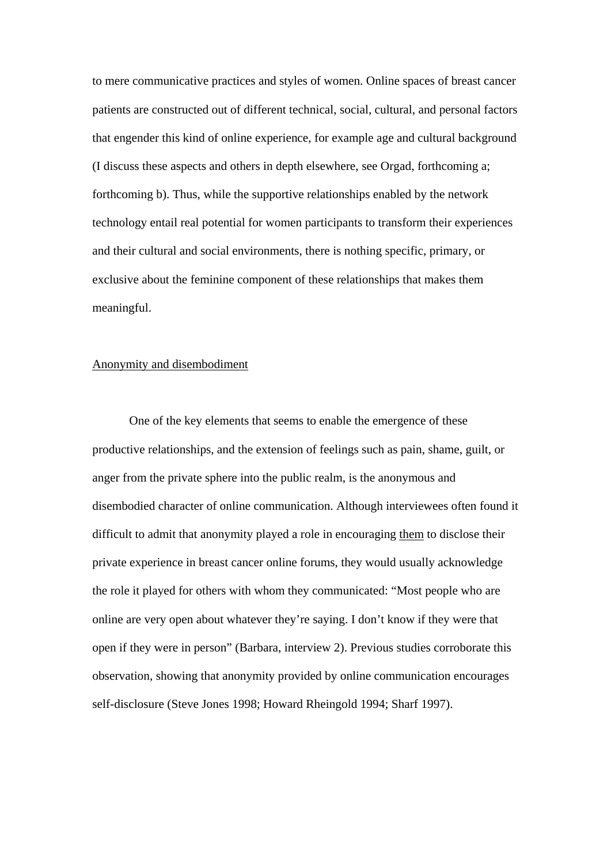to mere communicative practices and styles of women. Online spaces of breast cancer patients are constructed out of different technical, social, cultural, and personal factors that engender this kind of online experience, for example age and cultural background (I discuss these aspects and others in depth elsewhere, see Orgad, forthcoming a; forthcoming b). Thus, while the supportive relationships enabled by the network technology entail real potential for women participants to transform their experiences and their cultural and social environments, there is nothing specific, primary, or exclusive about the feminine component of these relationships that makes them meaningful.

# Anonymity and disembodiment

One of the key elements that seems to enable the emergence of these productive relationships, and the extension of feelings such as pain, shame, guilt, or anger from the private sphere into the public realm, is the anonymous and disembodied character of online communication. Although interviewees often found it difficult to admit that anonymity played a role in encouraging them to disclose their private experience in breast cancer online forums, they would usually acknowledge the role it played for others with whom they communicated: "Most people who are online are very open about whatever they're saying. I don't know if they were that open if they were in person" (Barbara, interview 2). Previous studies corroborate this observation, showing that anonymity provided by online communication encourages self-disclosure (Steve Jones 1998; Howard Rheingold 1994; Sharf 1997).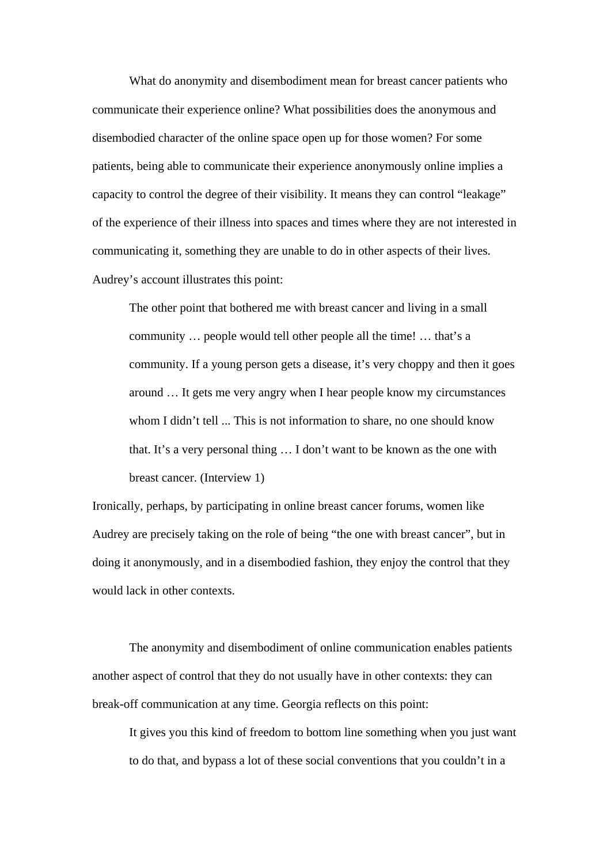What do anonymity and disembodiment mean for breast cancer patients who communicate their experience online? What possibilities does the anonymous and disembodied character of the online space open up for those women? For some patients, being able to communicate their experience anonymously online implies a capacity to control the degree of their visibility. It means they can control "leakage" of the experience of their illness into spaces and times where they are not interested in communicating it, something they are unable to do in other aspects of their lives. Audrey's account illustrates this point:

The other point that bothered me with breast cancer and living in a small community … people would tell other people all the time! … that's a community. If a young person gets a disease, it's very choppy and then it goes around … It gets me very angry when I hear people know my circumstances whom I didn't tell ... This is not information to share, no one should know that. It's a very personal thing … I don't want to be known as the one with breast cancer. (Interview 1)

Ironically, perhaps, by participating in online breast cancer forums, women like Audrey are precisely taking on the role of being "the one with breast cancer", but in doing it anonymously, and in a disembodied fashion, they enjoy the control that they would lack in other contexts.

The anonymity and disembodiment of online communication enables patients another aspect of control that they do not usually have in other contexts: they can break-off communication at any time. Georgia reflects on this point:

It gives you this kind of freedom to bottom line something when you just want to do that, and bypass a lot of these social conventions that you couldn't in a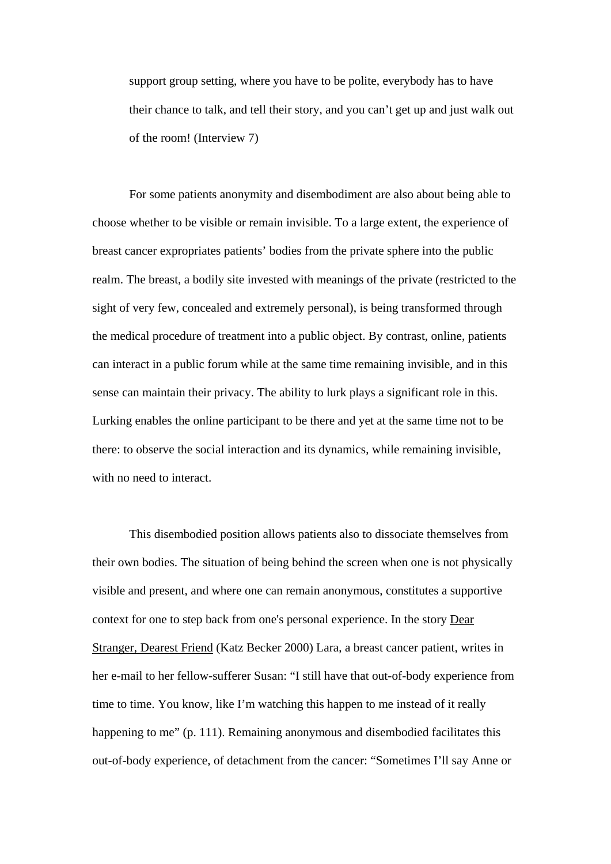support group setting, where you have to be polite, everybody has to have their chance to talk, and tell their story, and you can't get up and just walk out of the room! (Interview 7)

For some patients anonymity and disembodiment are also about being able to choose whether to be visible or remain invisible. To a large extent, the experience of breast cancer expropriates patients' bodies from the private sphere into the public realm. The breast, a bodily site invested with meanings of the private (restricted to the sight of very few, concealed and extremely personal), is being transformed through the medical procedure of treatment into a public object. By contrast, online, patients can interact in a public forum while at the same time remaining invisible, and in this sense can maintain their privacy. The ability to lurk plays a significant role in this. Lurking enables the online participant to be there and yet at the same time not to be there: to observe the social interaction and its dynamics, while remaining invisible, with no need to interact.

This disembodied position allows patients also to dissociate themselves from their own bodies. The situation of being behind the screen when one is not physically visible and present, and where one can remain anonymous, constitutes a supportive context for one to step back from one's personal experience. In the story Dear Stranger, Dearest Friend (Katz Becker 2000) Lara, a breast cancer patient, writes in her e-mail to her fellow-sufferer Susan: "I still have that out-of-body experience from time to time. You know, like I'm watching this happen to me instead of it really happening to me" (p. 111). Remaining anonymous and disembodied facilitates this out-of-body experience, of detachment from the cancer: "Sometimes I'll say Anne or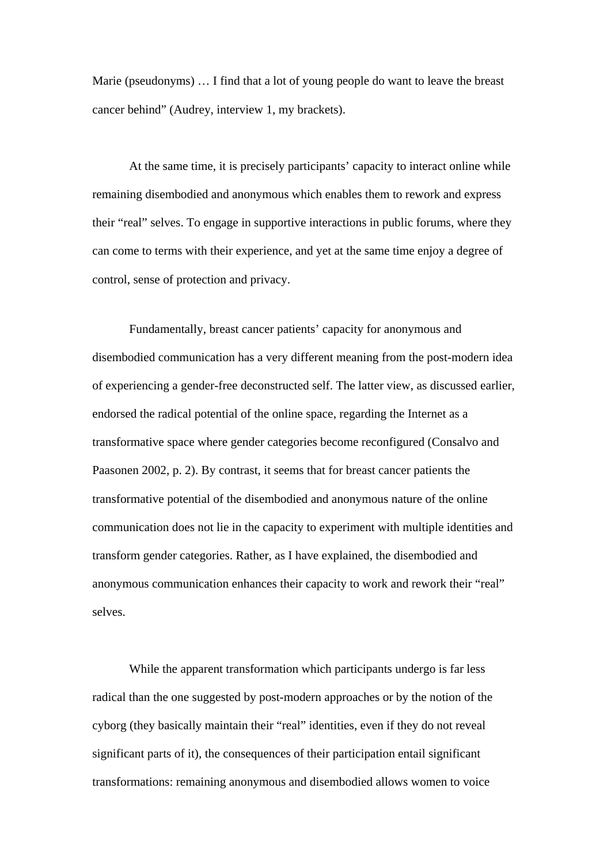Marie (pseudonyms) … I find that a lot of young people do want to leave the breast cancer behind" (Audrey, interview 1, my brackets).

At the same time, it is precisely participants' capacity to interact online while remaining disembodied and anonymous which enables them to rework and express their "real" selves. To engage in supportive interactions in public forums, where they can come to terms with their experience, and yet at the same time enjoy a degree of control, sense of protection and privacy.

Fundamentally, breast cancer patients' capacity for anonymous and disembodied communication has a very different meaning from the post-modern idea of experiencing a gender-free deconstructed self. The latter view, as discussed earlier, endorsed the radical potential of the online space, regarding the Internet as a transformative space where gender categories become reconfigured (Consalvo and Paasonen 2002, p. 2). By contrast, it seems that for breast cancer patients the transformative potential of the disembodied and anonymous nature of the online communication does not lie in the capacity to experiment with multiple identities and transform gender categories. Rather, as I have explained, the disembodied and anonymous communication enhances their capacity to work and rework their "real" selves.

While the apparent transformation which participants undergo is far less radical than the one suggested by post-modern approaches or by the notion of the cyborg (they basically maintain their "real" identities, even if they do not reveal significant parts of it), the consequences of their participation entail significant transformations: remaining anonymous and disembodied allows women to voice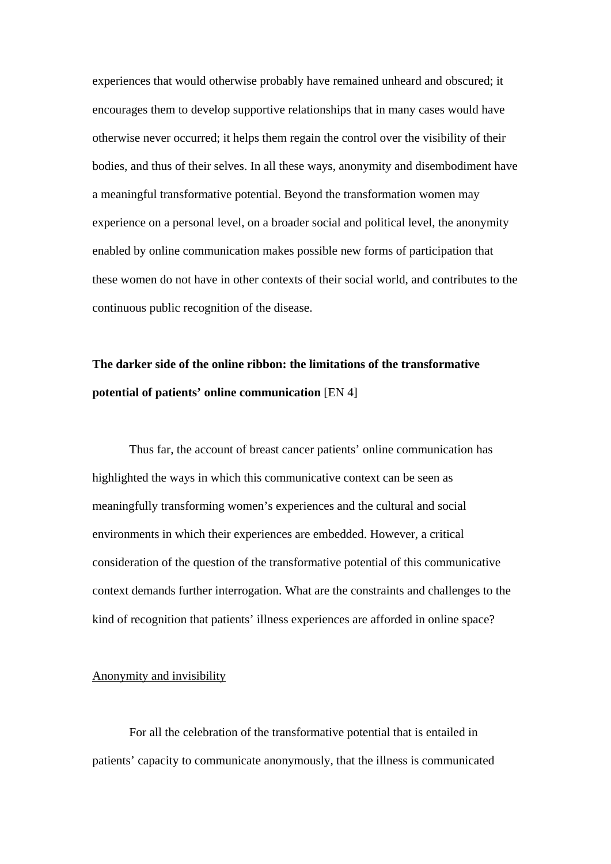experiences that would otherwise probably have remained unheard and obscured; it encourages them to develop supportive relationships that in many cases would have otherwise never occurred; it helps them regain the control over the visibility of their bodies, and thus of their selves. In all these ways, anonymity and disembodiment have a meaningful transformative potential. Beyond the transformation women may experience on a personal level, on a broader social and political level, the anonymity enabled by online communication makes possible new forms of participation that these women do not have in other contexts of their social world, and contributes to the continuous public recognition of the disease.

# **The darker side of the online ribbon: the limitations of the transformative potential of patients' online communication** [EN 4]

Thus far, the account of breast cancer patients' online communication has highlighted the ways in which this communicative context can be seen as meaningfully transforming women's experiences and the cultural and social environments in which their experiences are embedded. However, a critical consideration of the question of the transformative potential of this communicative context demands further interrogation. What are the constraints and challenges to the kind of recognition that patients' illness experiences are afforded in online space?

## Anonymity and invisibility

For all the celebration of the transformative potential that is entailed in patients' capacity to communicate anonymously, that the illness is communicated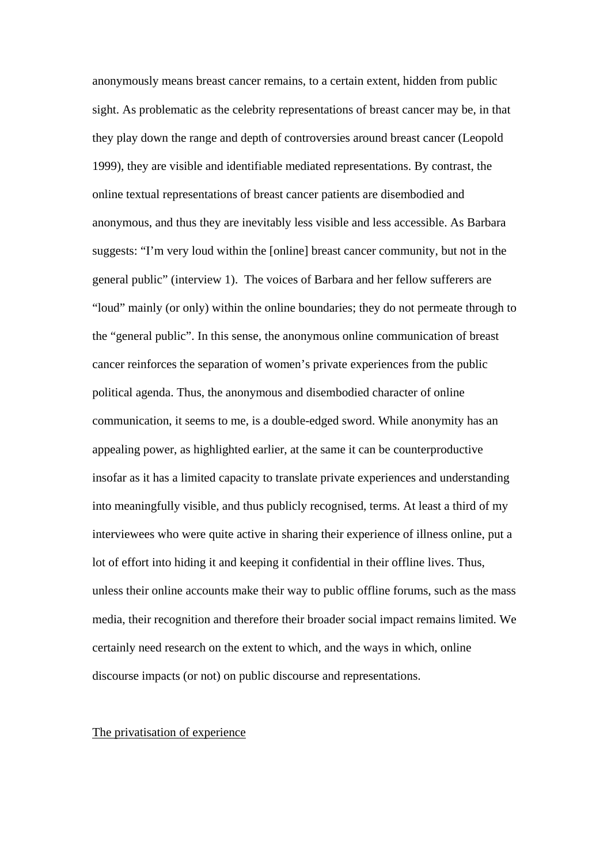anonymously means breast cancer remains, to a certain extent, hidden from public sight. As problematic as the celebrity representations of breast cancer may be, in that they play down the range and depth of controversies around breast cancer (Leopold 1999), they are visible and identifiable mediated representations. By contrast, the online textual representations of breast cancer patients are disembodied and anonymous, and thus they are inevitably less visible and less accessible. As Barbara suggests: "I'm very loud within the [online] breast cancer community, but not in the general public" (interview 1). The voices of Barbara and her fellow sufferers are "loud" mainly (or only) within the online boundaries; they do not permeate through to the "general public". In this sense, the anonymous online communication of breast cancer reinforces the separation of women's private experiences from the public political agenda. Thus, the anonymous and disembodied character of online communication, it seems to me, is a double-edged sword. While anonymity has an appealing power, as highlighted earlier, at the same it can be counterproductive insofar as it has a limited capacity to translate private experiences and understanding into meaningfully visible, and thus publicly recognised, terms. At least a third of my interviewees who were quite active in sharing their experience of illness online, put a lot of effort into hiding it and keeping it confidential in their offline lives. Thus, unless their online accounts make their way to public offline forums, such as the mass media, their recognition and therefore their broader social impact remains limited. We certainly need research on the extent to which, and the ways in which, online discourse impacts (or not) on public discourse and representations.

#### The privatisation of experience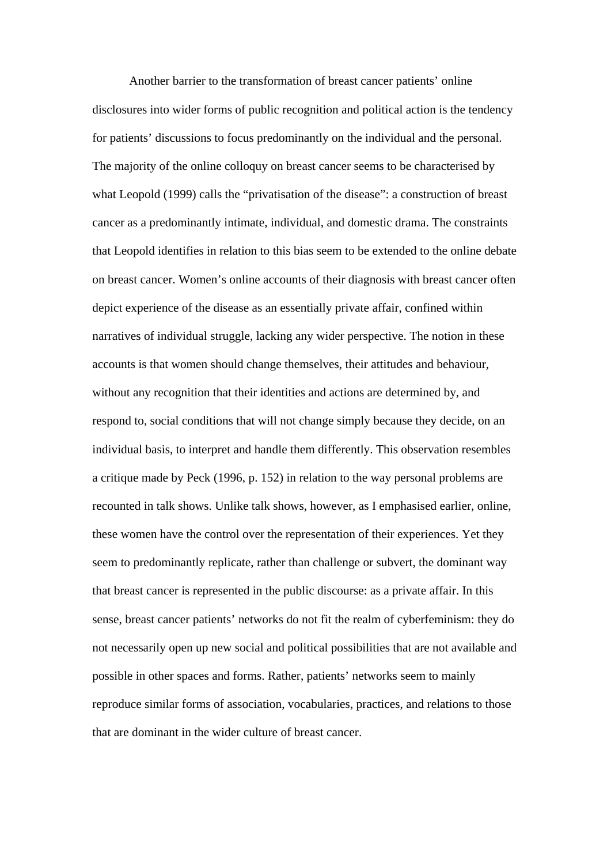Another barrier to the transformation of breast cancer patients' online disclosures into wider forms of public recognition and political action is the tendency for patients' discussions to focus predominantly on the individual and the personal. The majority of the online colloquy on breast cancer seems to be characterised by what Leopold (1999) calls the "privatisation of the disease": a construction of breast cancer as a predominantly intimate, individual, and domestic drama. The constraints that Leopold identifies in relation to this bias seem to be extended to the online debate on breast cancer. Women's online accounts of their diagnosis with breast cancer often depict experience of the disease as an essentially private affair, confined within narratives of individual struggle, lacking any wider perspective. The notion in these accounts is that women should change themselves, their attitudes and behaviour, without any recognition that their identities and actions are determined by, and respond to, social conditions that will not change simply because they decide, on an individual basis, to interpret and handle them differently. This observation resembles a critique made by Peck (1996, p. 152) in relation to the way personal problems are recounted in talk shows. Unlike talk shows, however, as I emphasised earlier, online, these women have the control over the representation of their experiences. Yet they seem to predominantly replicate, rather than challenge or subvert, the dominant way that breast cancer is represented in the public discourse: as a private affair. In this sense, breast cancer patients' networks do not fit the realm of cyberfeminism: they do not necessarily open up new social and political possibilities that are not available and possible in other spaces and forms. Rather, patients' networks seem to mainly reproduce similar forms of association, vocabularies, practices, and relations to those that are dominant in the wider culture of breast cancer.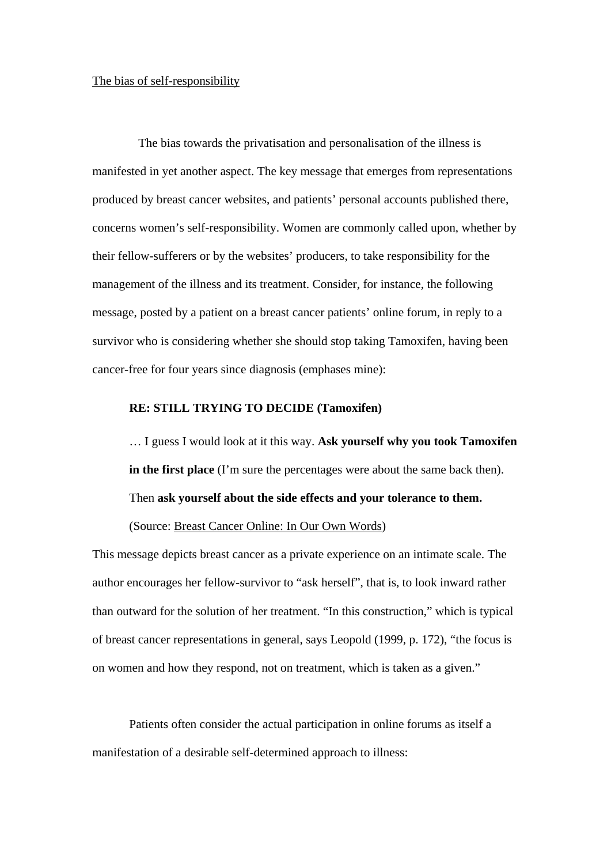#### The bias of self-responsibility

The bias towards the privatisation and personalisation of the illness is manifested in yet another aspect. The key message that emerges from representations produced by breast cancer websites, and patients' personal accounts published there, concerns women's self-responsibility. Women are commonly called upon, whether by their fellow-sufferers or by the websites' producers, to take responsibility for the management of the illness and its treatment. Consider, for instance, the following message, posted by a patient on a breast cancer patients' online forum, in reply to a survivor who is considering whether she should stop taking Tamoxifen, having been cancer-free for four years since diagnosis (emphases mine):

#### **RE: STILL TRYING TO DECIDE (Tamoxifen)**

… I guess I would look at it this way. **Ask yourself why you took Tamoxifen in the first place** (I'm sure the percentages were about the same back then). Then **ask yourself about the side effects and your tolerance to them.**

#### (Source: Breast Cancer Online: In Our Own Words)

This message depicts breast cancer as a private experience on an intimate scale. The author encourages her fellow-survivor to "ask herself", that is, to look inward rather than outward for the solution of her treatment. "In this construction," which is typical of breast cancer representations in general, says Leopold (1999, p. 172), "the focus is on women and how they respond, not on treatment, which is taken as a given."

Patients often consider the actual participation in online forums as itself a manifestation of a desirable self-determined approach to illness: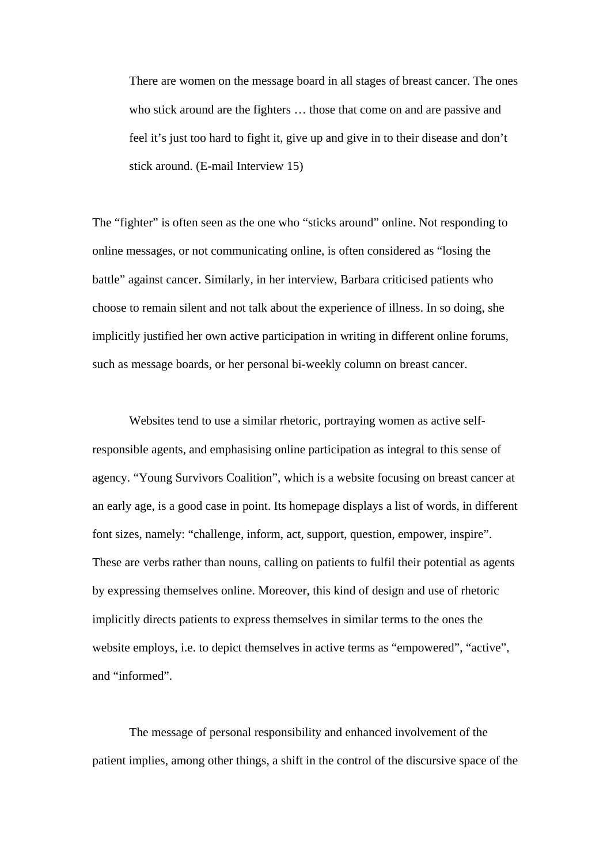There are women on the message board in all stages of breast cancer. The ones who stick around are the fighters … those that come on and are passive and feel it's just too hard to fight it, give up and give in to their disease and don't stick around. (E-mail Interview 15)

The "fighter" is often seen as the one who "sticks around" online. Not responding to online messages, or not communicating online, is often considered as "losing the battle" against cancer. Similarly, in her interview, Barbara criticised patients who choose to remain silent and not talk about the experience of illness. In so doing, she implicitly justified her own active participation in writing in different online forums, such as message boards, or her personal bi-weekly column on breast cancer.

Websites tend to use a similar rhetoric, portraying women as active selfresponsible agents, and emphasising online participation as integral to this sense of agency. "Young Survivors Coalition", which is a website focusing on breast cancer at an early age, is a good case in point. Its homepage displays a list of words, in different font sizes, namely: "challenge, inform, act, support, question, empower, inspire". These are verbs rather than nouns, calling on patients to fulfil their potential as agents by expressing themselves online. Moreover, this kind of design and use of rhetoric implicitly directs patients to express themselves in similar terms to the ones the website employs, i.e. to depict themselves in active terms as "empowered", "active", and "informed".

The message of personal responsibility and enhanced involvement of the patient implies, among other things, a shift in the control of the discursive space of the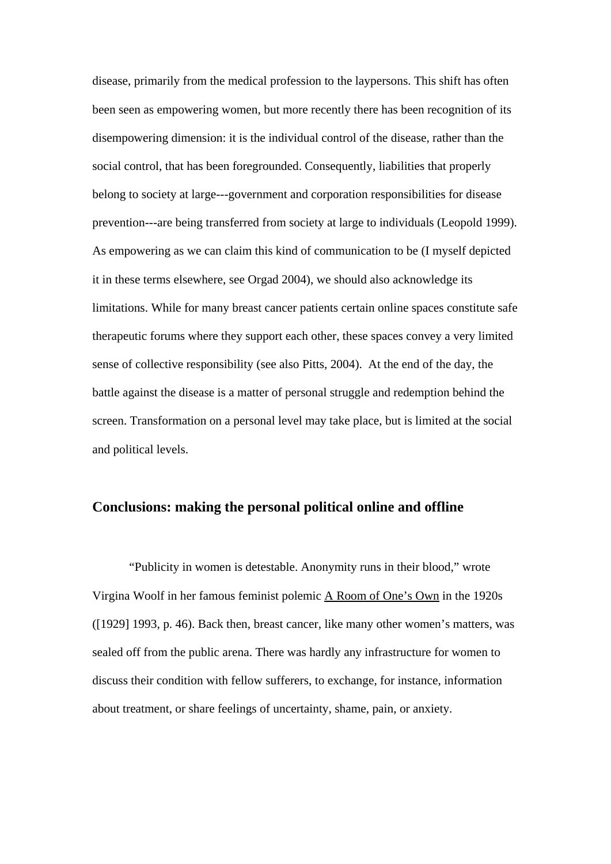disease, primarily from the medical profession to the laypersons. This shift has often been seen as empowering women, but more recently there has been recognition of its disempowering dimension: it is the individual control of the disease, rather than the social control, that has been foregrounded. Consequently, liabilities that properly belong to society at large---government and corporation responsibilities for disease prevention---are being transferred from society at large to individuals (Leopold 1999). As empowering as we can claim this kind of communication to be (I myself depicted it in these terms elsewhere, see Orgad 2004), we should also acknowledge its limitations. While for many breast cancer patients certain online spaces constitute safe therapeutic forums where they support each other, these spaces convey a very limited sense of collective responsibility (see also Pitts, 2004). At the end of the day, the battle against the disease is a matter of personal struggle and redemption behind the screen. Transformation on a personal level may take place, but is limited at the social and political levels.

# **Conclusions: making the personal political online and offline**

"Publicity in women is detestable. Anonymity runs in their blood," wrote Virgina Woolf in her famous feminist polemic A Room of One's Own in the 1920s ([1929] 1993, p. 46). Back then, breast cancer, like many other women's matters, was sealed off from the public arena. There was hardly any infrastructure for women to discuss their condition with fellow sufferers, to exchange, for instance, information about treatment, or share feelings of uncertainty, shame, pain, or anxiety.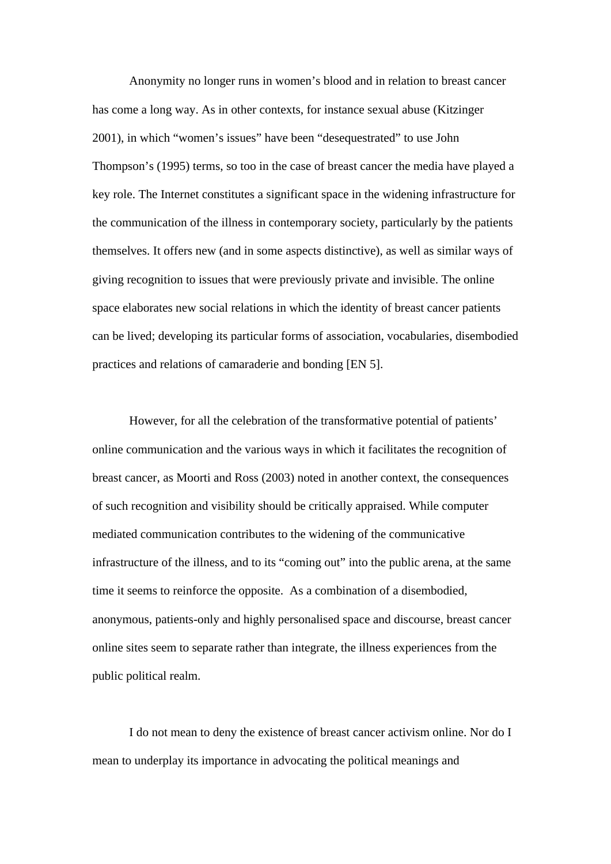Anonymity no longer runs in women's blood and in relation to breast cancer has come a long way. As in other contexts, for instance sexual abuse (Kitzinger 2001), in which "women's issues" have been "desequestrated" to use John Thompson's (1995) terms, so too in the case of breast cancer the media have played a key role. The Internet constitutes a significant space in the widening infrastructure for the communication of the illness in contemporary society, particularly by the patients themselves. It offers new (and in some aspects distinctive), as well as similar ways of giving recognition to issues that were previously private and invisible. The online space elaborates new social relations in which the identity of breast cancer patients can be lived; developing its particular forms of association, vocabularies, disembodied practices and relations of camaraderie and bonding [EN 5].

However, for all the celebration of the transformative potential of patients' online communication and the various ways in which it facilitates the recognition of breast cancer, as Moorti and Ross (2003) noted in another context, the consequences of such recognition and visibility should be critically appraised. While computer mediated communication contributes to the widening of the communicative infrastructure of the illness, and to its "coming out" into the public arena, at the same time it seems to reinforce the opposite. As a combination of a disembodied, anonymous, patients-only and highly personalised space and discourse, breast cancer online sites seem to separate rather than integrate, the illness experiences from the public political realm.

I do not mean to deny the existence of breast cancer activism online. Nor do I mean to underplay its importance in advocating the political meanings and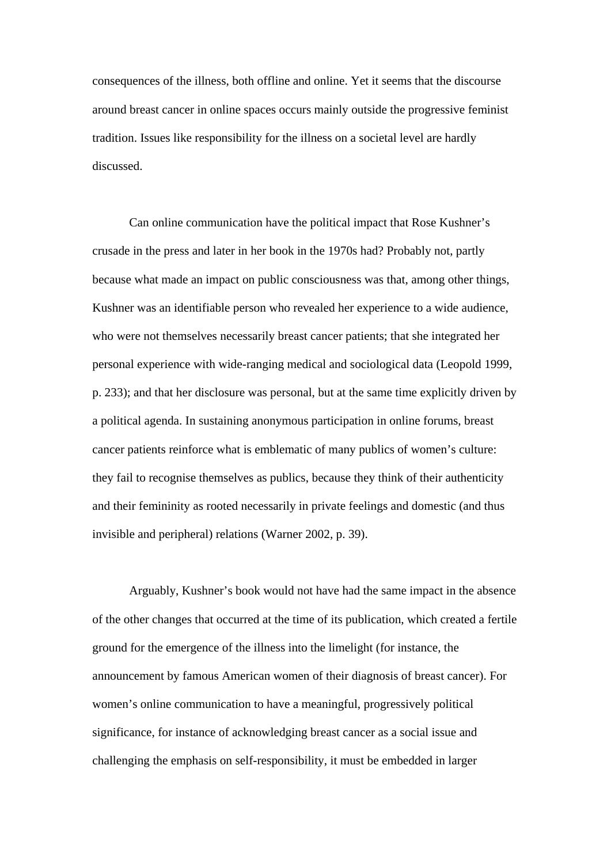consequences of the illness, both offline and online. Yet it seems that the discourse around breast cancer in online spaces occurs mainly outside the progressive feminist tradition. Issues like responsibility for the illness on a societal level are hardly discussed.

Can online communication have the political impact that Rose Kushner's crusade in the press and later in her book in the 1970s had? Probably not, partly because what made an impact on public consciousness was that, among other things, Kushner was an identifiable person who revealed her experience to a wide audience, who were not themselves necessarily breast cancer patients; that she integrated her personal experience with wide-ranging medical and sociological data (Leopold 1999, p. 233); and that her disclosure was personal, but at the same time explicitly driven by a political agenda. In sustaining anonymous participation in online forums, breast cancer patients reinforce what is emblematic of many publics of women's culture: they fail to recognise themselves as publics, because they think of their authenticity and their femininity as rooted necessarily in private feelings and domestic (and thus invisible and peripheral) relations (Warner 2002, p. 39).

Arguably, Kushner's book would not have had the same impact in the absence of the other changes that occurred at the time of its publication, which created a fertile ground for the emergence of the illness into the limelight (for instance, the announcement by famous American women of their diagnosis of breast cancer). For women's online communication to have a meaningful, progressively political significance, for instance of acknowledging breast cancer as a social issue and challenging the emphasis on self-responsibility, it must be embedded in larger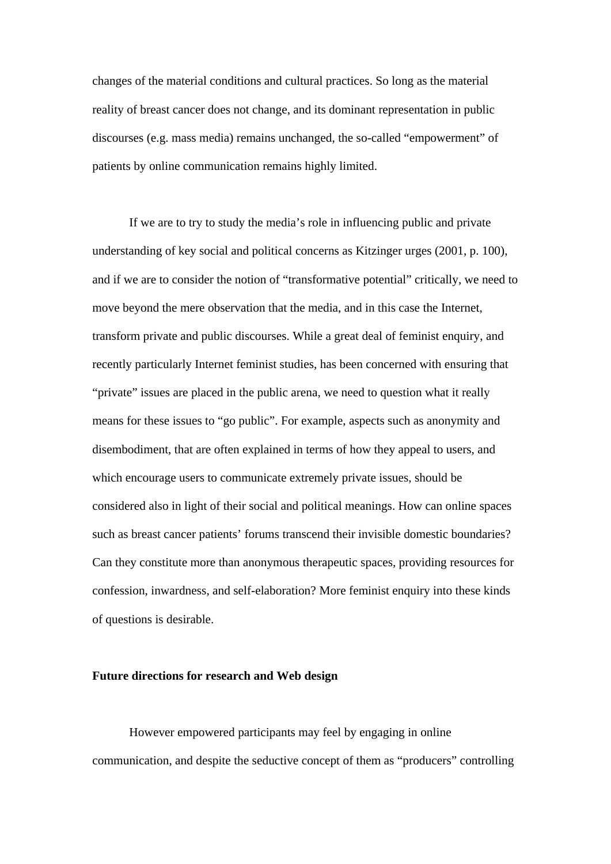changes of the material conditions and cultural practices. So long as the material reality of breast cancer does not change, and its dominant representation in public discourses (e.g. mass media) remains unchanged, the so-called "empowerment" of patients by online communication remains highly limited.

If we are to try to study the media's role in influencing public and private understanding of key social and political concerns as Kitzinger urges (2001, p. 100), and if we are to consider the notion of "transformative potential" critically, we need to move beyond the mere observation that the media, and in this case the Internet, transform private and public discourses. While a great deal of feminist enquiry, and recently particularly Internet feminist studies, has been concerned with ensuring that "private" issues are placed in the public arena, we need to question what it really means for these issues to "go public". For example, aspects such as anonymity and disembodiment, that are often explained in terms of how they appeal to users, and which encourage users to communicate extremely private issues, should be considered also in light of their social and political meanings. How can online spaces such as breast cancer patients' forums transcend their invisible domestic boundaries? Can they constitute more than anonymous therapeutic spaces, providing resources for confession, inwardness, and self-elaboration? More feminist enquiry into these kinds of questions is desirable.

## **Future directions for research and Web design**

However empowered participants may feel by engaging in online communication, and despite the seductive concept of them as "producers" controlling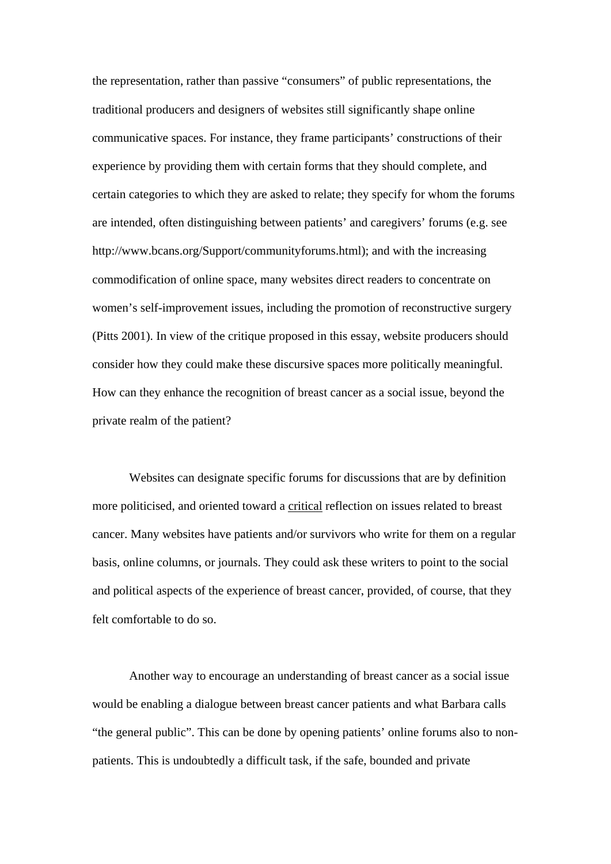the representation, rather than passive "consumers" of public representations, the traditional producers and designers of websites still significantly shape online communicative spaces. For instance, they frame participants' constructions of their experience by providing them with certain forms that they should complete, and certain categories to which they are asked to relate; they specify for whom the forums are intended, often distinguishing between patients' and caregivers' forums (e.g. see <http://www.bcans.org/Support/communityforums.html>); and with the increasing commodification of online space, many websites direct readers to concentrate on women's self-improvement issues, including the promotion of reconstructive surgery (Pitts 2001). In view of the critique proposed in this essay, website producers should consider how they could make these discursive spaces more politically meaningful. How can they enhance the recognition of breast cancer as a social issue, beyond the private realm of the patient?

Websites can designate specific forums for discussions that are by definition more politicised, and oriented toward a critical reflection on issues related to breast cancer. Many websites have patients and/or survivors who write for them on a regular basis, online columns, or journals. They could ask these writers to point to the social and political aspects of the experience of breast cancer, provided, of course, that they felt comfortable to do so.

Another way to encourage an understanding of breast cancer as a social issue would be enabling a dialogue between breast cancer patients and what Barbara calls "the general public". This can be done by opening patients' online forums also to nonpatients. This is undoubtedly a difficult task, if the safe, bounded and private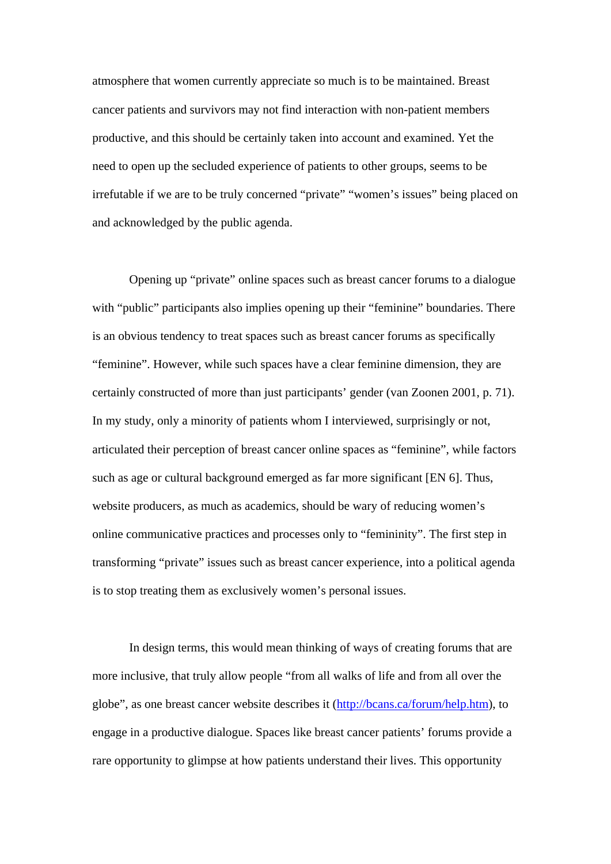atmosphere that women currently appreciate so much is to be maintained. Breast cancer patients and survivors may not find interaction with non-patient members productive, and this should be certainly taken into account and examined. Yet the need to open up the secluded experience of patients to other groups, seems to be irrefutable if we are to be truly concerned "private" "women's issues" being placed on and acknowledged by the public agenda.

Opening up "private" online spaces such as breast cancer forums to a dialogue with "public" participants also implies opening up their "feminine" boundaries. There is an obvious tendency to treat spaces such as breast cancer forums as specifically "feminine". However, while such spaces have a clear feminine dimension, they are certainly constructed of more than just participants' gender (van Zoonen 2001, p. 71). In my study, only a minority of patients whom I interviewed, surprisingly or not, articulated their perception of breast cancer online spaces as "feminine", while factors such as age or cultural background emerged as far more significant [EN 6]. Thus, website producers, as much as academics, should be wary of reducing women's online communicative practices and processes only to "femininity". The first step in transforming "private" issues such as breast cancer experience, into a political agenda is to stop treating them as exclusively women's personal issues.

In design terms, this would mean thinking of ways of creating forums that are more inclusive, that truly allow people "from all walks of life and from all over the globe", as one breast cancer website describes it [\(http://bcans.ca/forum/help.htm](http://bcans.ca/forum/help.htm)), to engage in a productive dialogue. Spaces like breast cancer patients' forums provide a rare opportunity to glimpse at how patients understand their lives. This opportunity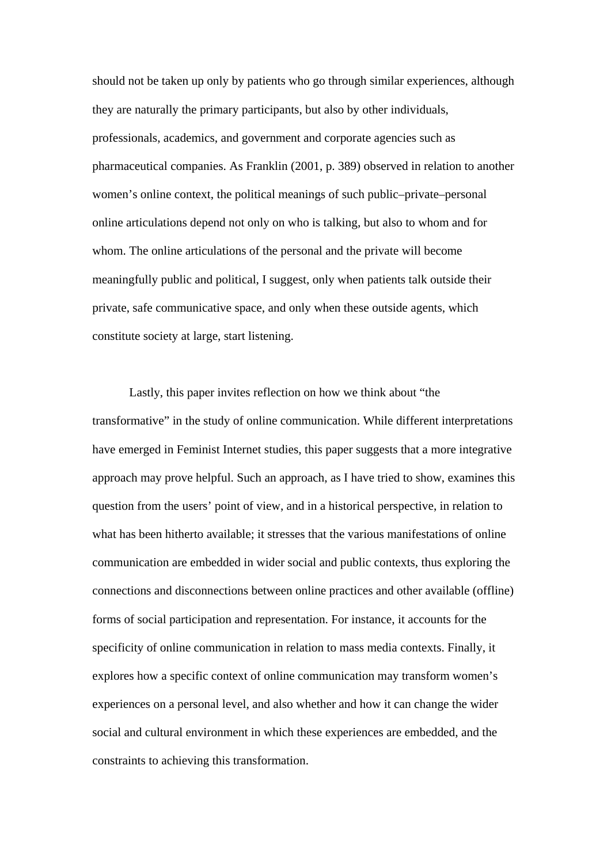should not be taken up only by patients who go through similar experiences, although they are naturally the primary participants, but also by other individuals, professionals, academics, and government and corporate agencies such as pharmaceutical companies. As Franklin (2001, p. 389) observed in relation to another women's online context, the political meanings of such public–private–personal online articulations depend not only on who is talking, but also to whom and for whom. The online articulations of the personal and the private will become meaningfully public and political, I suggest, only when patients talk outside their private, safe communicative space, and only when these outside agents, which constitute society at large, start listening.

Lastly, this paper invites reflection on how we think about "the transformative" in the study of online communication. While different interpretations have emerged in Feminist Internet studies, this paper suggests that a more integrative approach may prove helpful. Such an approach, as I have tried to show, examines this question from the users' point of view, and in a historical perspective, in relation to what has been hitherto available; it stresses that the various manifestations of online communication are embedded in wider social and public contexts, thus exploring the connections and disconnections between online practices and other available (offline) forms of social participation and representation. For instance, it accounts for the specificity of online communication in relation to mass media contexts. Finally, it explores how a specific context of online communication may transform women's experiences on a personal level, and also whether and how it can change the wider social and cultural environment in which these experiences are embedded, and the constraints to achieving this transformation.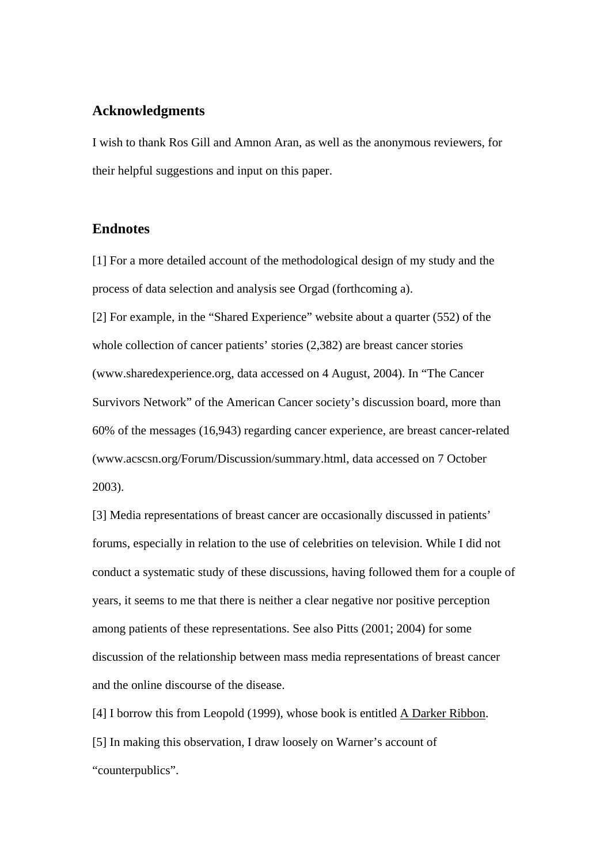# **Acknowledgments**

I wish to thank Ros Gill and Amnon Aran, as well as the anonymous reviewers, for their helpful suggestions and input on this paper.

## **Endnotes**

[1] For a more detailed account of the methodological design of my study and the process of data selection and analysis see Orgad (forthcoming a).

[2] For example, in the "Shared Experience" website about a quarter (552) of the whole collection of cancer patients' stories (2,382) are breast cancer stories ([www.sharedexperience.org](http://www.sharedexperience.org/), data accessed on 4 August, 2004). In "The Cancer Survivors Network" of the American Cancer society's discussion board, more than 60% of the messages (16,943) regarding cancer experience, are breast cancer-related ([www.acscsn.org/Forum/Discussion/summary.html,](http://www.acscsn.org/Forum/Discussion/summary.html) data accessed on 7 October 2003).

[3] Media representations of breast cancer are occasionally discussed in patients' forums, especially in relation to the use of celebrities on television. While I did not conduct a systematic study of these discussions, having followed them for a couple of years, it seems to me that there is neither a clear negative nor positive perception among patients of these representations. See also Pitts (2001; 2004) for some discussion of the relationship between mass media representations of breast cancer and the online discourse of the disease.

[4] I borrow this from Leopold (1999), whose book is entitled A Darker Ribbon. [5] In making this observation, I draw loosely on Warner's account of "counterpublics".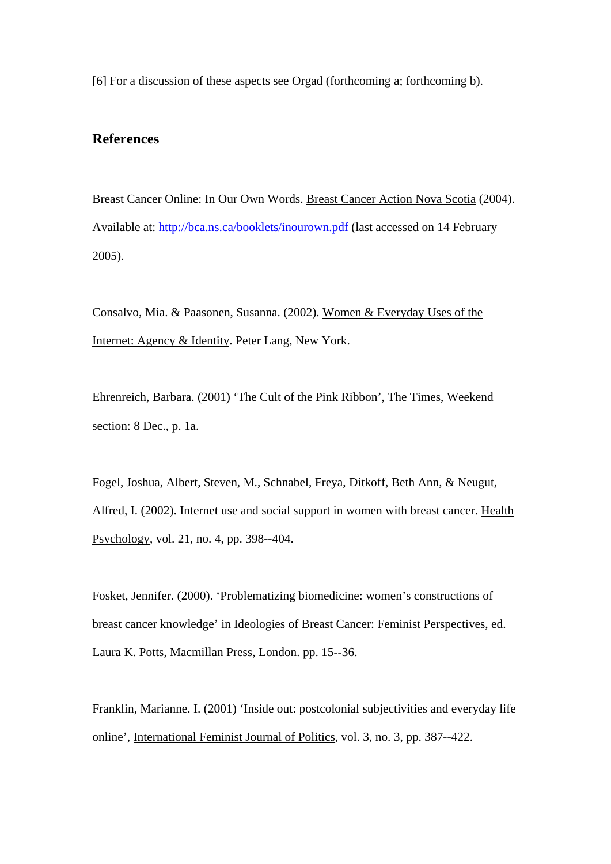[6] For a discussion of these aspects see Orgad (forthcoming a; forthcoming b).

## **References**

Breast Cancer Online: In Our Own Words. Breast Cancer Action Nova Scotia (2004). Available at: <http://bca.ns.ca/booklets/inourown.pdf>(last accessed on 14 February 2005).

Consalvo, Mia. & Paasonen, Susanna. (2002). Women & Everyday Uses of the Internet: Agency & Identity. Peter Lang, New York.

Ehrenreich, Barbara. (2001) 'The Cult of the Pink Ribbon', The Times, Weekend section: 8 Dec., p. 1a.

Fogel, Joshua, Albert, Steven, M., Schnabel, Freya, Ditkoff, Beth Ann, & Neugut, Alfred, I. (2002). Internet use and social support in women with breast cancer. Health Psychology, vol. 21, no. 4, pp. 398--404.

Fosket, Jennifer. (2000). 'Problematizing biomedicine: women's constructions of breast cancer knowledge' in Ideologies of Breast Cancer: Feminist Perspectives, ed. Laura K. Potts, Macmillan Press, London. pp. 15--36.

Franklin, Marianne. I. (2001) 'Inside out: postcolonial subjectivities and everyday life online', International Feminist Journal of Politics, vol. 3, no. 3, pp. 387--422.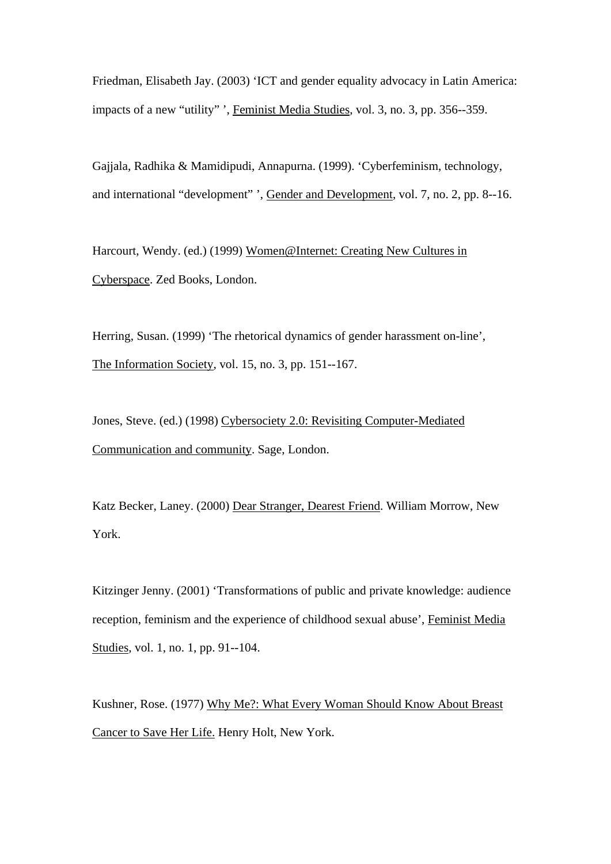Friedman, Elisabeth Jay. (2003) 'ICT and gender equality advocacy in Latin America: impacts of a new "utility" ', Feminist Media Studies, vol. 3, no. 3, pp. 356--359.

Gajjala, Radhika & Mamidipudi, Annapurna. (1999). 'Cyberfeminism, technology, and international "development" ', Gender and Development, vol. 7, no. 2, pp. 8--16.

Harcourt, Wendy. (ed.) (1999) [Women@Internet:](mailto:Women@Internet) Creating New Cultures in Cyberspace. Zed Books, London.

Herring, Susan. (1999) 'The rhetorical dynamics of gender harassment on-line', The Information Society, vol. 15, no. 3, pp. 151--167.

Jones, Steve. (ed.) (1998) Cybersociety 2.0: Revisiting Computer-Mediated Communication and community. Sage, London.

Katz Becker, Laney. (2000) Dear Stranger, Dearest Friend. William Morrow, New York.

Kitzinger Jenny. (2001) 'Transformations of public and private knowledge: audience reception, feminism and the experience of childhood sexual abuse', Feminist Media Studies, vol. 1, no. 1, pp. 91--104.

Kushner, Rose. (1977) Why Me?: What Every Woman Should Know About Breast Cancer to Save Her Life. Henry Holt, New York.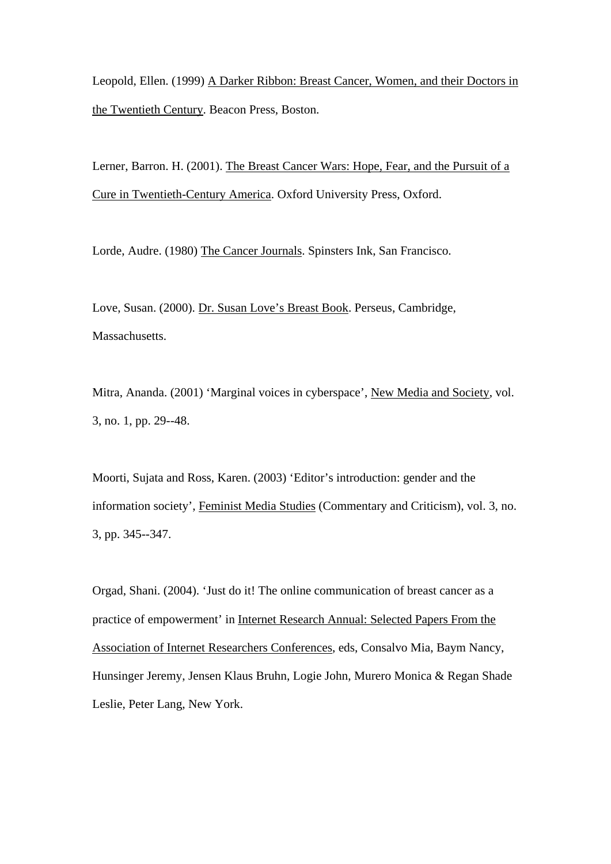Leopold, Ellen. (1999) A Darker Ribbon: Breast Cancer, Women, and their Doctors in the Twentieth Century. Beacon Press, Boston.

Lerner, Barron. H. (2001). The Breast Cancer Wars: Hope, Fear, and the Pursuit of a Cure in Twentieth-Century America. Oxford University Press, Oxford.

Lorde, Audre. (1980) The Cancer Journals. Spinsters Ink, San Francisco.

Love, Susan. (2000). Dr. Susan Love's Breast Book. Perseus, Cambridge, Massachusetts.

Mitra, Ananda. (2001) 'Marginal voices in cyberspace', New Media and Society, vol. 3, no. 1, pp. 29--48.

Moorti, Sujata and Ross, Karen. (2003) 'Editor's introduction: gender and the information society', Feminist Media Studies (Commentary and Criticism), vol. 3, no. 3, pp. 345--347.

Orgad, Shani. (2004). 'Just do it! The online communication of breast cancer as a practice of empowerment' in Internet Research Annual: Selected Papers From the Association of Internet Researchers Conferences, eds, Consalvo Mia, Baym Nancy, Hunsinger Jeremy, Jensen Klaus Bruhn, Logie John, Murero Monica & Regan Shade Leslie, Peter Lang, New York.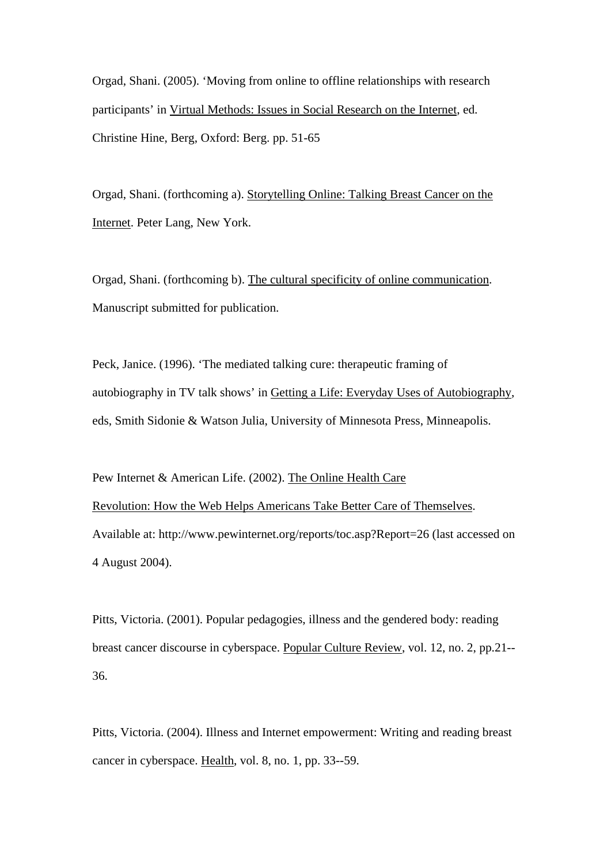Orgad, Shani. (2005). 'Moving from online to offline relationships with research participants' in Virtual Methods: Issues in Social Research on the Internet, ed. Christine Hine, Berg, Oxford: Berg. pp. 51-65

Orgad, Shani. (forthcoming a). Storytelling Online: Talking Breast Cancer on the Internet. Peter Lang, New York.

Orgad, Shani. (forthcoming b). The cultural specificity of online communication. Manuscript submitted for publication.

Peck, Janice. (1996). 'The mediated talking cure: therapeutic framing of autobiography in TV talk shows' in Getting a Life: Everyday Uses of Autobiography, eds, Smith Sidonie & Watson Julia, University of Minnesota Press, Minneapolis.

Pew Internet & American Life. (2002). The Online Health Care Revolution: How the Web Helps Americans Take Better Care of Themselves. Available at: http://www.pewinternet.org/reports/toc.asp?Report=26 (last accessed on 4 August 2004).

Pitts, Victoria. (2001). Popular pedagogies, illness and the gendered body: reading breast cancer discourse in cyberspace. Popular Culture Review, vol. 12, no. 2, pp.21-- 36.

Pitts, Victoria. (2004). Illness and Internet empowerment: Writing and reading breast cancer in cyberspace. Health, vol. 8, no. 1, pp. 33--59.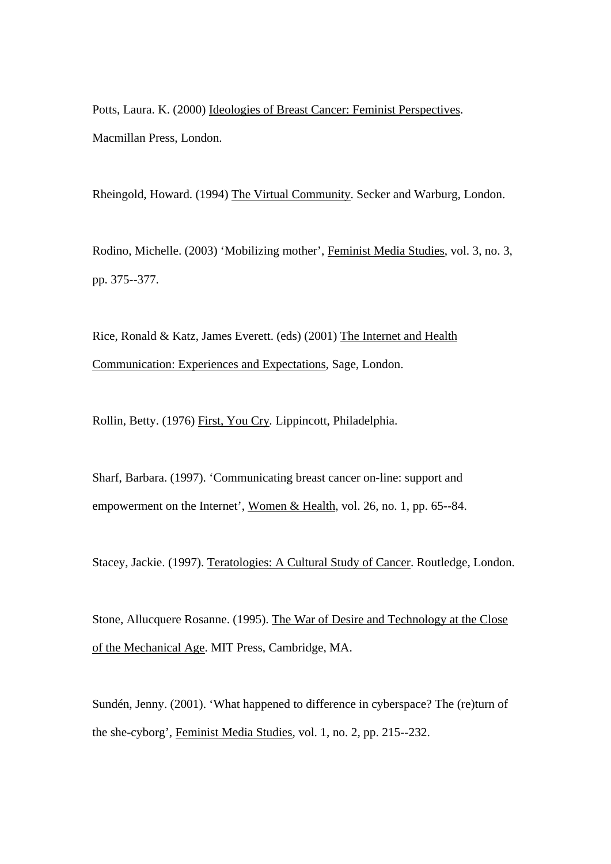Potts, Laura. K. (2000) Ideologies of Breast Cancer: Feminist Perspectives. Macmillan Press, London.

Rheingold, Howard. (1994) The Virtual Community. Secker and Warburg, London.

Rodino, Michelle. (2003) 'Mobilizing mother', Feminist Media Studies, vol. 3, no. 3, pp. 375--377.

Rice, Ronald & Katz, James Everett. (eds) (2001) The Internet and Health Communication: Experiences and Expectations, Sage, London.

Rollin, Betty. (1976) First, You Cry*.* Lippincott, Philadelphia.

Sharf, Barbara. (1997). 'Communicating breast cancer on-line: support and empowerment on the Internet', Women & Health, vol. 26, no. 1, pp. 65--84.

Stacey, Jackie. (1997). Teratologies: A Cultural Study of Cancer. Routledge, London.

Stone, Allucquere Rosanne. (1995). The War of Desire and Technology at the Close of the Mechanical Age. MIT Press, Cambridge, MA.

Sundén, Jenny. (2001). 'What happened to difference in cyberspace? The (re)turn of the she-cyborg', Feminist Media Studies, vol. 1, no. 2, pp. 215--232.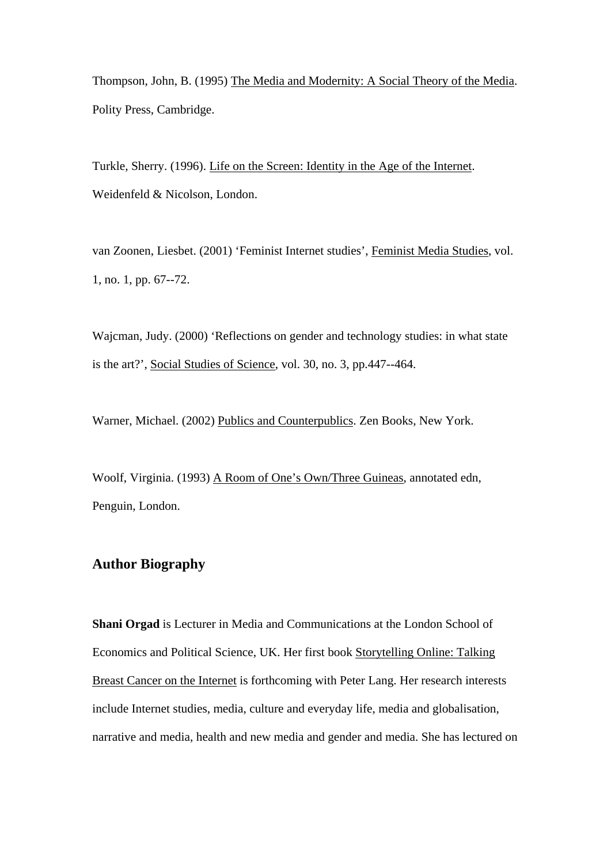Thompson, John, B. (1995) The Media and Modernity: A Social Theory of the Media. Polity Press, Cambridge.

Turkle, Sherry. (1996). Life on the Screen: Identity in the Age of the Internet. Weidenfeld & Nicolson, London.

van Zoonen, Liesbet. (2001) 'Feminist Internet studies', Feminist Media Studies, vol. 1, no. 1, pp. 67--72.

Wajcman, Judy. (2000) 'Reflections on gender and technology studies: in what state is the art?', Social Studies of Science, vol. 30, no. 3, pp.447--464.

Warner, Michael. (2002) Publics and Counterpublics. Zen Books, New York.

Woolf, Virginia. (1993) A Room of One's Own/Three Guineas, annotated edn, Penguin, London.

# **Author Biography**

**Shani Orgad** is Lecturer in Media and Communications at the London School of Economics and Political Science, UK. Her first book Storytelling Online: Talking Breast Cancer on the Internet is forthcoming with Peter Lang. Her research interests include Internet studies, media, culture and everyday life, media and globalisation, narrative and media, health and new media and gender and media. She has lectured on